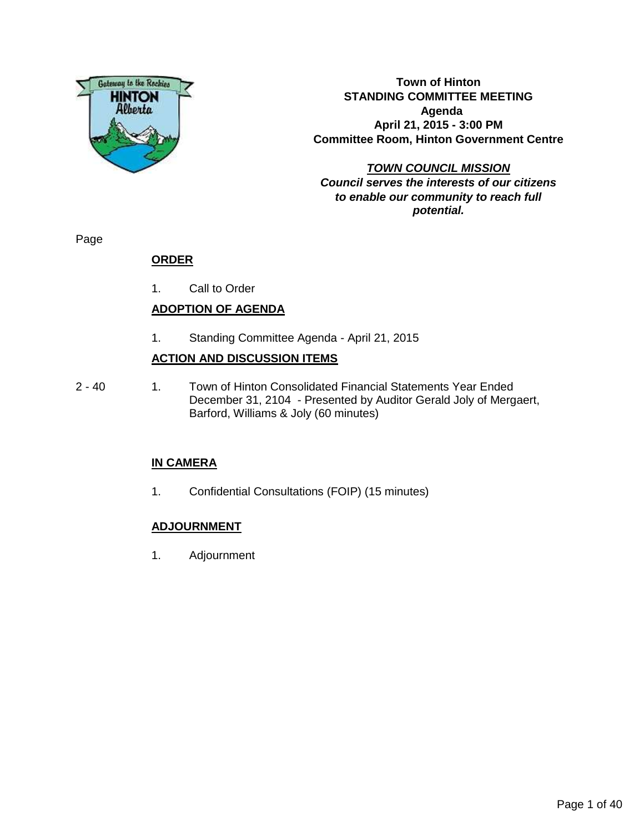

**Town of Hinton STANDING COMMITTEE MEETING Agenda April 21, 2015 - 3:00 PM Committee Room, Hinton Government Centre**

**TOWN COUNCIL MISSION Council serves the interests of our citizens to enable our community to reach full potential.**

Page

## **ORDER**

1. Call to Order

## **ADOPTION OF AGENDA**

1. Standing Committee Agenda - April 21, 2015

## **ACTION AND DISCUSSION ITEMS**

- 
- 2 40 1. Town of Hinton Consolidated Financial Statements Year Ended December 31, 2104 - Presented by Auditor Gerald Joly of Mergaert, Barford, Williams & Joly (60 minutes)

## **IN CAMERA**

1. Confidential Consultations (FOIP) (15 minutes)

## **ADJOURNMENT**

1. Adjournment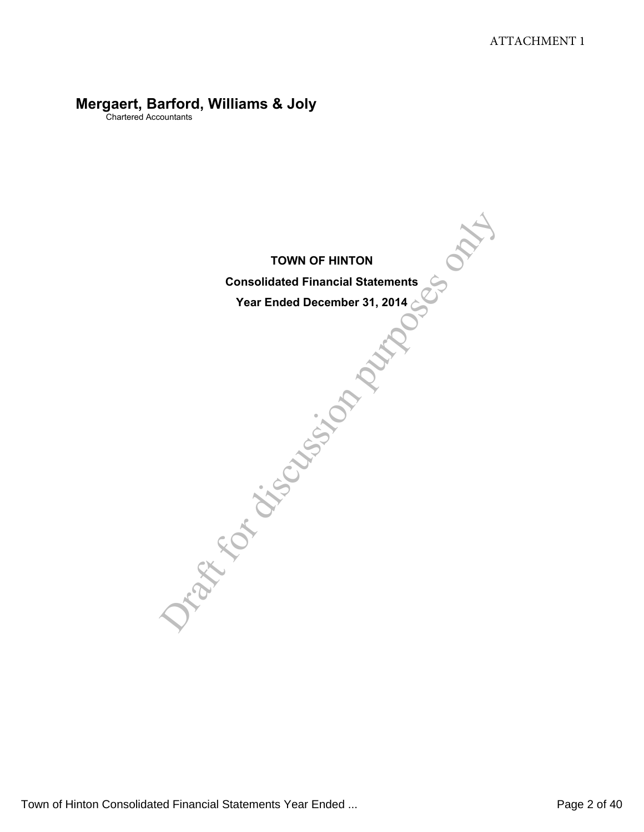## **Mergaert, Barford, Williams & Joly**

Chartered Accountants

**TOWN OF HINTON**

TOWN OF HINTON<br>Consolidated Financial Statements<br>Year Ended December 31, 2014 **Consolidated Financial Statements**

**Year Ended December 31, 2014**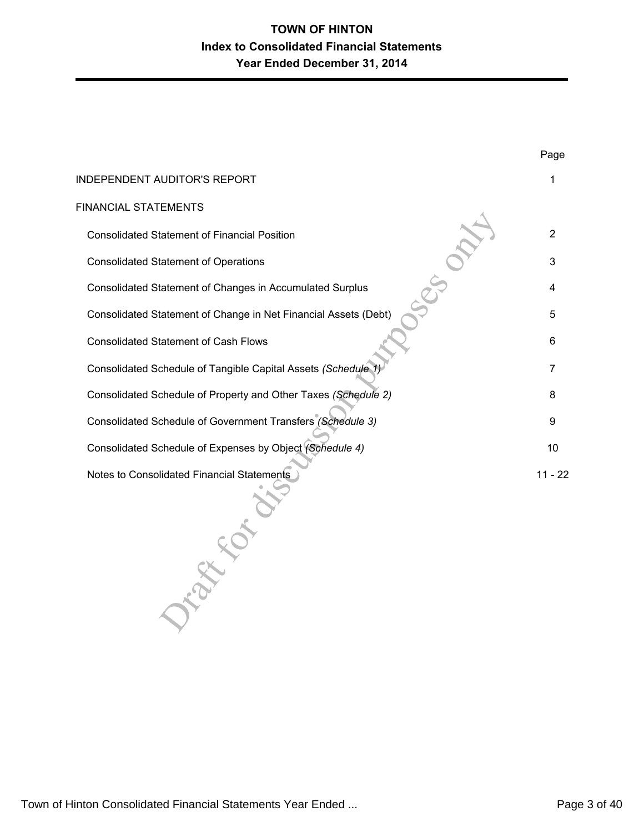| INDEPENDENT AUDITOR'S REPORT                                    |                |
|-----------------------------------------------------------------|----------------|
| FINANCIAL STATEMENTS                                            |                |
| <b>Consolidated Statement of Financial Position</b>             | $\overline{2}$ |
| <b>Consolidated Statement of Operations</b>                     | 3              |
| Consolidated Statement of Changes in Accumulated Surplus        | 4              |
| Consolidated Statement of Change in Net Financial Assets (Debt) | 5              |
| <b>Consolidated Statement of Cash Flows</b>                     | 6              |
| Consolidated Schedule of Tangible Capital Assets (Schedule 1)   | $\overline{7}$ |
| Consolidated Schedule of Property and Other Taxes (Schedule 2)  | 8              |
| Consolidated Schedule of Government Transfers (Schedule 3)      | 9              |
| Consolidated Schedule of Expenses by Object (Schedule 4)        | 10             |
| Notes to Consolidated Financial Statements                      | $11 - 22$      |
|                                                                 |                |

Page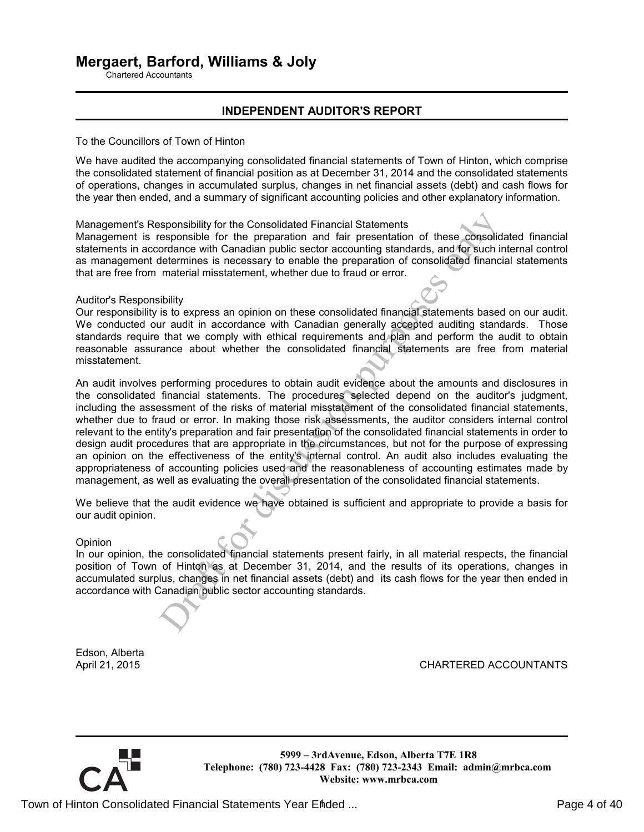## **Mergaert, Barford, Williams & Joly**

Chartered Accountants

#### **INDEPENDENT AUDITOR'S REPORT**

#### To the Councillors of Town of Hinton

We have audited the accompanying consolidated financial statements of Town of Hinton, which comprise the consolidated statement of financial position as at December 31, 2014 and the consolidated statements of operations, changes in accumulated surplus, changes in net financial assets (debt) and cash flows for the year then ended, and a summary of significant accounting policies and other explanatory information.

Management's Responsibility for the Consolidated Financial Statements Management is responsible for the preparation and fair presentation of these consolidated financial statements in accordance with Canadian public sector accounting standards, and for such internal control as management determines is necessary to enable the preparation of consolidated financial statements that are free from material misstatement, whether due to fraud or error.

#### Auditor's Responsibility

Our responsibility is to express an opinion on these consolidated financial statements based on our audit. We conducted our audit in accordance with Canadian generally accepted auditing standards. Those standards require that we comply with ethical requirements and plan and perform the audit to obtain reasonable assurance about whether the consolidated financial statements are free from material misstatement.

esponsibility for the Consolidated Financial Statements<br>esponsibility for the preparation and fair presentation of these consolid<br>ordance with Canadian public sector accounting standards, and for such in<br>determines is nece An audit involves performing procedures to obtain audit evidence about the amounts and disclosures in the consolidated financial statements. The procedures selected depend on the auditor's judgment, including the assessment of the risks of material misstatement of the consolidated financial statements, whether due to fraud or error. In making those risk assessments, the auditor considers internal control relevant to the entity's preparation and fair presentation of the consolidated financial statements in order to design audit procedures that are appropriate in the circumstances, but not for the purpose of expressing an opinion on the effectiveness of the entity's internal control. An audit also includes evaluating the appropriateness of accounting policies used and the reasonableness of accounting estimates made by management, as well as evaluating the overall presentation of the consolidated financial statements.

We believe that the audit evidence we have obtained is sufficient and appropriate to provide a basis for our audit opinion.

#### Opinion

In our opinion, the consolidated financial statements present fairly, in all material respects, the financial position of Town of Hinton as at December 31, 2014, and the results of its operations, changes in accumulated surplus, changes in net financial assets (debt) and its cash flows for the year then ended in accordance with Canadian public sector accounting standards.

Edson, Alberta

April 21, 2015 CHARTERED ACCOUNTANTS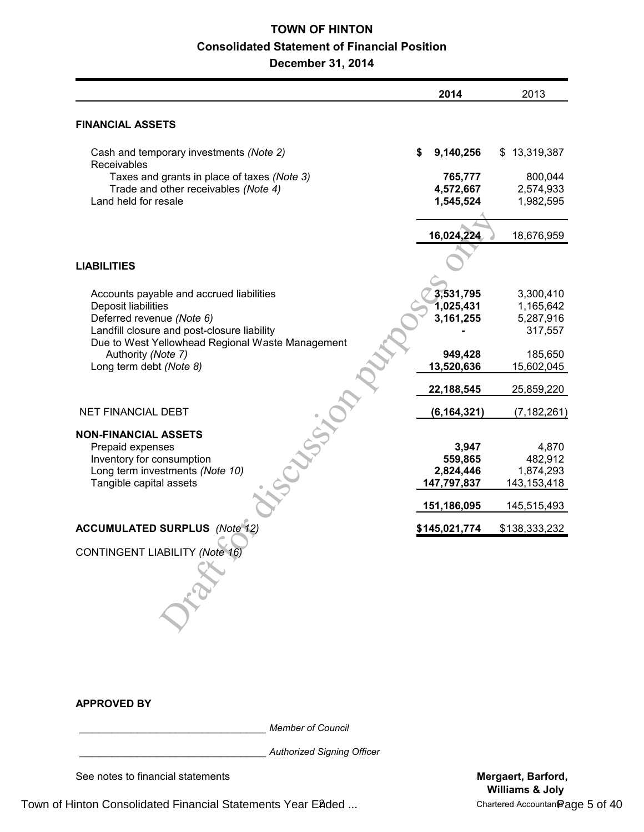## **TOWN OF HINTON Consolidated Statement of Financial Position**

**December 31, 2014**

| <b>FINANCIAL ASSETS</b><br>9,140,256<br>\$13,319,387<br>Cash and temporary investments (Note 2)<br>S<br>Receivables<br>Taxes and grants in place of taxes (Note 3)<br>800,044<br>765,777<br>Trade and other receivables (Note 4)<br>4,572,667<br>2,574,933 |
|------------------------------------------------------------------------------------------------------------------------------------------------------------------------------------------------------------------------------------------------------------|
|                                                                                                                                                                                                                                                            |
|                                                                                                                                                                                                                                                            |
|                                                                                                                                                                                                                                                            |
|                                                                                                                                                                                                                                                            |
| Land held for resale<br>1,545,524<br>1,982,595                                                                                                                                                                                                             |
| 16,024,224<br>18,676,959                                                                                                                                                                                                                                   |
| <b>LIABILITIES</b>                                                                                                                                                                                                                                         |
|                                                                                                                                                                                                                                                            |
| 3,531,795<br>3,300,410<br>Accounts payable and accrued liabilities                                                                                                                                                                                         |
| 1,025,431<br>Deposit liabilities<br>1,165,642                                                                                                                                                                                                              |
| Deferred revenue (Note 6)<br>3,161,255<br>5,287,916                                                                                                                                                                                                        |
| Landfill closure and post-closure liability<br>317,557                                                                                                                                                                                                     |
| Due to West Yellowhead Regional Waste Management                                                                                                                                                                                                           |
| Authority (Note 7)<br>949,428<br>185,650                                                                                                                                                                                                                   |
| Long term debt (Note 8)<br>13,520,636<br>15,602,045                                                                                                                                                                                                        |
| 22,188,545<br>25,859,220                                                                                                                                                                                                                                   |
|                                                                                                                                                                                                                                                            |
| <b>NET FINANCIAL DEBT</b><br>(6, 164, 321)<br>(7, 182, 261)                                                                                                                                                                                                |
| <b>NON-FINANCIAL ASSETS</b>                                                                                                                                                                                                                                |
| Prepaid expenses<br>3,947<br>4,870                                                                                                                                                                                                                         |
| Inventory for consumption<br>482,912<br>559,865                                                                                                                                                                                                            |
| Long term investments (Note 10)<br>1,874,293<br>2,824,446                                                                                                                                                                                                  |
| Tangible capital assets<br>147,797,837<br>143, 153, 418                                                                                                                                                                                                    |
| 151,186,095<br>145,515,493                                                                                                                                                                                                                                 |
| <b>ACCUMULATED SURPLUS</b> (Note 12)<br>\$145,021,774<br>\$138,333,232                                                                                                                                                                                     |
|                                                                                                                                                                                                                                                            |
|                                                                                                                                                                                                                                                            |
|                                                                                                                                                                                                                                                            |
|                                                                                                                                                                                                                                                            |
| CONTINGENT LIABILITY (Note 16)                                                                                                                                                                                                                             |
|                                                                                                                                                                                                                                                            |
|                                                                                                                                                                                                                                                            |

#### **APPROVED BY**

\_\_\_\_\_\_\_\_\_\_\_\_\_\_\_\_\_\_\_\_\_\_\_\_\_\_\_\_\_ *Member of Council*

\_\_\_\_\_\_\_\_\_\_\_\_\_\_\_\_\_\_\_\_\_\_\_\_\_\_\_\_\_ *Authorized Signing Officer*

See notes to financial statements **Mergaert, Barford, Mergaert, Barford,** 

Town of Hinton Consolidated Financial Statements Year Ended ... 2 Chartered Accountan<sup>g</sup>age 5 of 40

**Williams & Joly**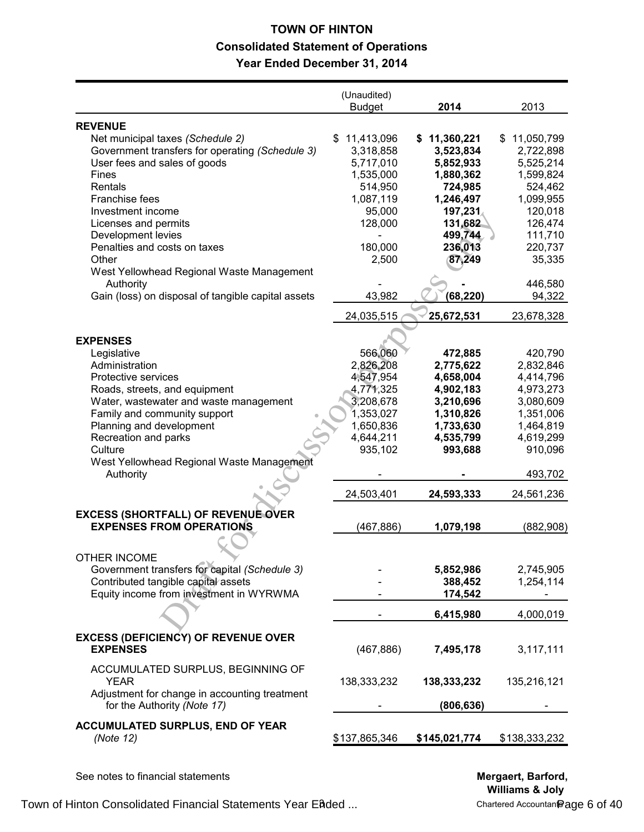## **TOWN OF HINTON Consolidated Statement of Operations Year Ended December 31, 2014**

|                                                               | (Unaudited)<br><b>Budget</b> | 2014          | 2013          |
|---------------------------------------------------------------|------------------------------|---------------|---------------|
| <b>REVENUE</b>                                                |                              |               |               |
| Net municipal taxes (Schedule 2)                              | \$11,413,096                 | \$11,360,221  | \$11,050,799  |
| Government transfers for operating (Schedule 3)               | 3,318,858                    | 3,523,834     | 2,722,898     |
| User fees and sales of goods                                  | 5,717,010                    | 5,852,933     | 5,525,214     |
| <b>Fines</b>                                                  | 1,535,000                    | 1,880,362     | 1,599,824     |
| Rentals                                                       | 514,950                      | 724,985       | 524,462       |
| <b>Franchise fees</b>                                         | 1,087,119                    | 1,246,497     | 1,099,955     |
| Investment income                                             | 95,000                       | 197,231       | 120,018       |
| Licenses and permits                                          | 128,000                      | 131,682       | 126,474       |
| Development levies                                            |                              | 499,744       | 111,710       |
| Penalties and costs on taxes                                  | 180,000                      | 236,013       | 220,737       |
| Other                                                         | 2,500                        | 87,249        | 35,335        |
| West Yellowhead Regional Waste Management<br>Authority        |                              |               | 446,580       |
| Gain (loss) on disposal of tangible capital assets            | 43,982                       | (68, 220)     | 94,322        |
|                                                               |                              |               |               |
|                                                               | 24,035,515                   | 25,672,531    | 23,678,328    |
| <b>EXPENSES</b>                                               |                              |               |               |
| Legislative                                                   | 566,060                      | 472,885       | 420,790       |
| Administration                                                | 2,826,208                    | 2,775,622     | 2,832,846     |
| Protective services                                           | 4,547,954                    | 4,658,004     | 4,414,796     |
| Roads, streets, and equipment                                 | 4,771,325                    | 4,902,183     | 4,973,273     |
| Water, wastewater and waste management                        | 3,208,678                    | 3,210,696     | 3,080,609     |
| Family and community support                                  | 1,353,027                    | 1,310,826     | 1,351,006     |
| Planning and development                                      | 1,650,836                    | 1,733,630     | 1,464,819     |
| Recreation and parks                                          | 4,644,211                    | 4,535,799     | 4,619,299     |
| Culture                                                       | 935,102                      | 993,688       | 910,096       |
| West Yellowhead Regional Waste Management                     |                              |               |               |
| Authority                                                     |                              |               | 493,702       |
|                                                               |                              |               |               |
|                                                               | 24,503,401                   | 24,593,333    | 24,561,236    |
| <b>EXCESS (SHORTFALL) OF REVENUE OVER</b>                     |                              |               |               |
| <b>EXPENSES FROM OPERATIONS</b>                               | (467, 886)                   | 1,079,198     | (882,908)     |
|                                                               |                              |               |               |
| <b>OTHER INCOME</b>                                           |                              |               |               |
| Government transfers for capital (Schedule 3)                 |                              | 5,852,986     | 2,745,905     |
| Contributed tangible capital assets                           |                              | 388,452       | 1,254,114     |
| Equity income from investment in WYRWMA                       |                              | 174,542       |               |
|                                                               |                              |               |               |
|                                                               |                              | 6,415,980     | 4,000,019     |
|                                                               |                              |               |               |
| <b>EXCESS (DEFICIENCY) OF REVENUE OVER</b><br><b>EXPENSES</b> |                              |               |               |
|                                                               | (467, 886)                   | 7,495,178     | 3,117,111     |
| ACCUMULATED SURPLUS, BEGINNING OF                             |                              |               |               |
| <b>YEAR</b>                                                   | 138,333,232                  | 138,333,232   | 135,216,121   |
| Adjustment for change in accounting treatment                 |                              |               |               |
| for the Authority (Note 17)                                   |                              | (806, 636)    |               |
|                                                               |                              |               |               |
| <b>ACCUMULATED SURPLUS, END OF YEAR</b>                       |                              |               |               |
| (Note 12)                                                     | \$137,865,346                | \$145,021,774 | \$138,333,232 |

See notes to financial statements **Mergaert, Barford, Mergaert, Barford, Mergaert**, **Barford**,

Town of Hinton Consolidated Financial Statements Year Ended ...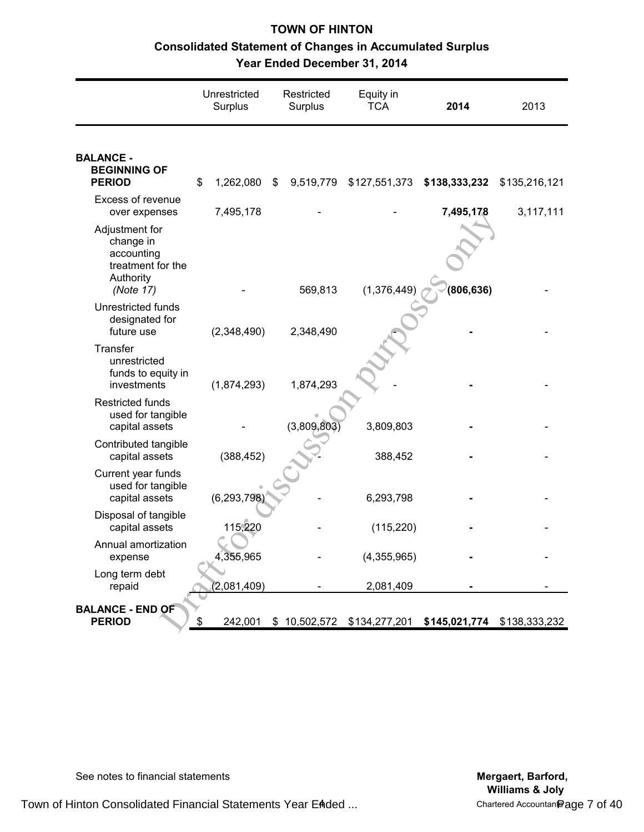## **TOWN OF HINTON Consolidated Statement of Changes in Accumulated Surplus Year Ended December 31, 2014**

|                                                                                          | Unrestricted<br>Surplus | Restricted<br>Surplus | Equity in<br><b>TCA</b>     | 2014          | 2013          |
|------------------------------------------------------------------------------------------|-------------------------|-----------------------|-----------------------------|---------------|---------------|
| <b>BALANCE -</b><br><b>BEGINNING OF</b><br><b>PERIOD</b>                                 | \$<br>1,262,080         | \$<br>9,519,779       | \$127,551,373 \$138,333,232 |               | \$135,216,121 |
| Excess of revenue<br>over expenses                                                       | 7,495,178               |                       |                             | 7,495,178     | 3,117,111     |
| Adjustment for<br>change in<br>accounting<br>treatment for the<br>Authority<br>(Note 17) |                         | 569,813               | (1,376,449)                 | (806, 636)    |               |
| <b>Unrestricted funds</b><br>designated for<br>future use                                | (2,348,490)             | 2,348,490             |                             |               |               |
| <b>Transfer</b><br>unrestricted<br>funds to equity in<br>investments                     | (1,874,293)             | 1,874,293             |                             |               |               |
| <b>Restricted funds</b><br>used for tangible<br>capital assets                           |                         | (3,809,803)           | 3,809,803                   |               |               |
| Contributed tangible<br>capital assets                                                   | (388, 452)              |                       | 388,452                     |               |               |
| Current year funds<br>used for tangible<br>capital assets                                | (6, 293, 798)           |                       | 6,293,798                   |               |               |
| Disposal of tangible<br>capital assets                                                   | 115,220                 |                       | (115, 220)                  |               |               |
| Annual amortization<br>expense                                                           | 4,355,965               |                       | (4,355,965)                 |               |               |
| Long term debt<br>repaid                                                                 | (2,081,409)             |                       | 2,081,409                   |               |               |
| <b>BALANCE - END OF</b><br><b>PERIOD</b>                                                 | \$<br>242,001           |                       | \$10,502,572 \$134,277,201  | \$145,021,774 | \$138,333,232 |

See notes to financial statements **Mergaert, Barford, Mergaert, Barford,** 

**Williams & Joly**<br>Chartered Accountan Page 7 of 40

Town of Hinton Consolidated Financial Statements Year Ended ...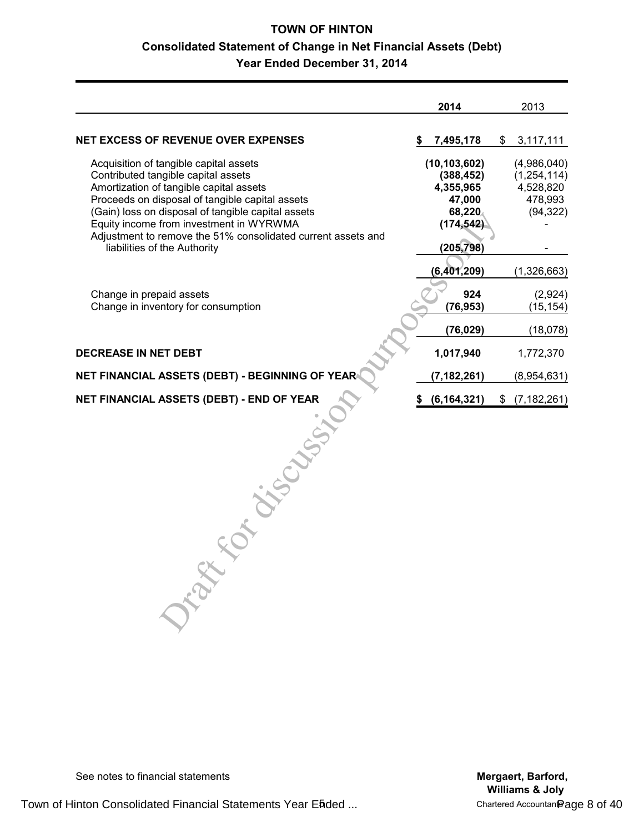## **TOWN OF HINTON Consolidated Statement of Change in Net Financial Assets (Debt) Year Ended December 31, 2014**

|                                                                                                                                                                                                                                                                                                                                                                              | 2014                                                                                      | 2013                                                            |
|------------------------------------------------------------------------------------------------------------------------------------------------------------------------------------------------------------------------------------------------------------------------------------------------------------------------------------------------------------------------------|-------------------------------------------------------------------------------------------|-----------------------------------------------------------------|
| <b>NET EXCESS OF REVENUE OVER EXPENSES</b>                                                                                                                                                                                                                                                                                                                                   | \$<br>7,495,178                                                                           | \$<br>3,117,111                                                 |
| Acquisition of tangible capital assets<br>Contributed tangible capital assets<br>Amortization of tangible capital assets<br>Proceeds on disposal of tangible capital assets<br>(Gain) loss on disposal of tangible capital assets<br>Equity income from investment in WYRWMA<br>Adjustment to remove the 51% consolidated current assets and<br>liabilities of the Authority | (10, 103, 602)<br>(388, 452)<br>4,355,965<br>47,000<br>68,220<br>(174, 542)<br>(205, 798) | (4,986,040)<br>(1,254,114)<br>4,528,820<br>478,993<br>(94, 322) |
| Change in prepaid assets<br>Change in inventory for consumption                                                                                                                                                                                                                                                                                                              | (6,401,209)<br>924<br>(76, 953)                                                           | (1,326,663)<br>(2,924)<br>(15, 154)                             |
|                                                                                                                                                                                                                                                                                                                                                                              | (76, 029)                                                                                 | (18,078)                                                        |
| <b>DECREASE IN NET DEBT</b>                                                                                                                                                                                                                                                                                                                                                  | 1,017,940                                                                                 | 1,772,370                                                       |
| NET FINANCIAL ASSETS (DEBT) - BEGINNING OF YEAR                                                                                                                                                                                                                                                                                                                              | (7, 182, 261)                                                                             | (8,954,631)                                                     |
| NET FINANCIAL ASSETS (DEBT) - END OF YEAR                                                                                                                                                                                                                                                                                                                                    | (6, 164, 321)                                                                             | \$<br>(7, 182, 261)                                             |
| $\sim$                                                                                                                                                                                                                                                                                                                                                                       |                                                                                           |                                                                 |

See notes to financial statements **Mergaert, Barford, Mergaert, Barford,** 

**Williams & Joly**

Town of Hinton Consolidated Financial Statements Year Ended ... Some Theorem Chartered Accountant Page 8 of 40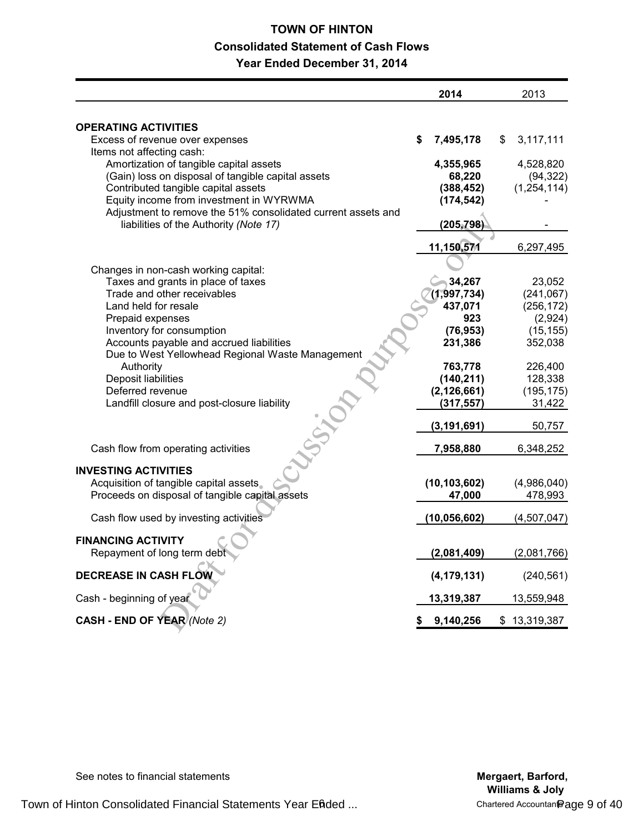## **TOWN OF HINTON Consolidated Statement of Cash Flows Year Ended December 31, 2014**

|                                                                                              | 2014            | 2013            |
|----------------------------------------------------------------------------------------------|-----------------|-----------------|
| <b>OPERATING ACTIVITIES</b>                                                                  |                 |                 |
| Excess of revenue over expenses                                                              | \$<br>7,495,178 | 3,117,111<br>\$ |
| Items not affecting cash:                                                                    |                 |                 |
| Amortization of tangible capital assets                                                      | 4,355,965       | 4,528,820       |
| (Gain) loss on disposal of tangible capital assets                                           | 68,220          | (94, 322)       |
| Contributed tangible capital assets                                                          | (388, 452)      | (1, 254, 114)   |
| Equity income from investment in WYRWMA                                                      | (174, 542)      |                 |
| Adjustment to remove the 51% consolidated current assets and                                 |                 |                 |
| liabilities of the Authority (Note 17)                                                       | (205, 798)      |                 |
|                                                                                              |                 |                 |
|                                                                                              | 11,150,571      | 6,297,495       |
|                                                                                              |                 |                 |
| Changes in non-cash working capital:                                                         |                 |                 |
| Taxes and grants in place of taxes                                                           | 34,267          | 23,052          |
| Trade and other receivables                                                                  | (1, 997, 734)   | (241,067)       |
| Land held for resale                                                                         | 437,071         | (256, 172)      |
| Prepaid expenses                                                                             | 923             | (2,924)         |
| Inventory for consumption                                                                    | (76, 953)       | (15, 155)       |
| Accounts payable and accrued liabilities<br>Due to West Yellowhead Regional Waste Management | 231,386         | 352,038         |
| Authority                                                                                    | 763,778         | 226,400         |
| Deposit liabilities                                                                          | (140, 211)      | 128,338         |
| Deferred revenue                                                                             | (2, 126, 661)   | (195, 175)      |
| Landfill closure and post-closure liability                                                  | (317, 557)      | 31,422          |
|                                                                                              |                 |                 |
|                                                                                              | (3, 191, 691)   | 50,757          |
| Cash flow from operating activities                                                          | 7,958,880       | 6,348,252       |
| <b>INVESTING ACTIVITIES</b>                                                                  |                 |                 |
| Acquisition of tangible capital assets.                                                      | (10, 103, 602)  | (4,986,040)     |
| Proceeds on disposal of tangible capital assets                                              | 47,000          | 478,993         |
|                                                                                              |                 |                 |
| Cash flow used by investing activities                                                       | (10,056,602)    | (4,507,047)     |
| <b>FINANCING ACTIVITY</b>                                                                    |                 |                 |
| Repayment of long term debt                                                                  | (2,081,409)     | (2,081,766)     |
|                                                                                              |                 |                 |
| <b>DECREASE IN CASH FLOW</b>                                                                 | (4, 179, 131)   | (240, 561)      |
| Cash - beginning of year                                                                     | 13,319,387      | 13,559,948      |
|                                                                                              |                 |                 |
| CASH - END OF YEAR (Note 2)                                                                  | 9,140,256       | \$13,319,387    |

See notes to financial statements **Mergaert, Barford, Mergaert, Barford, Mergaert**, **Barford**,

**Williams & Joly**<br>Chartered Accountan Page 9 of 40

Town of Hinton Consolidated Financial Statements Year Ended ...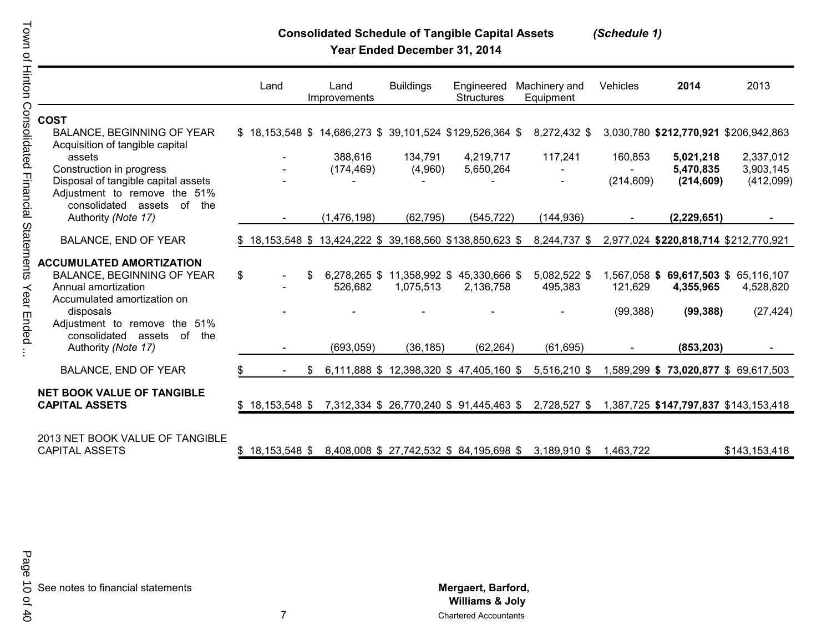#### **Consolidated Schedule of Tangible Capital Assets** *(Schedule 1)*

**Year Ended December 31, 2014**

Land Land Buildings Engineered Machinery and Vehicles **2014** 2013 Improvements Structures Equipment **COST** BALANCE, BEGINNING OF YEAR \$ 18,153,548 \$ 14,686,273 \$ 39,101,524 \$129,526,364 \$ 8,272,432 \$ 3,030,780 **\$212,770,921** \$206,942,863 Acquisition of tangible capital assets - 388,616 134,791 4,219,717 117,241 160,853 **5,021,218** 2,337,012 Construction in progress - (174,469) (4,960) 5,650,264 - - **5,470,835** 3,903,145 Disposal of tangible capital assets - - - - - (214,609) **(214,609)** (412,099) Adjustment to remove the 51% consolidated assets of the Authority *(Note 17)* - (1,476,198) (62,795) (545,722) (144,936) - **(2,229,651)** - BALANCE, END OF YEAR \$ 18,153,548 \$ 13,424,222 \$ 39,168,560 \$138,850,623 \$ 8,244,737 \$ 2,977,024 **\$220,818,714** \$212,770,921 **ACCUMULATED AMORTIZATION** BALANCE, BEGINNING OF YEAR \$ - \$ 6,278,265 \$ 11,358,992 \$ 45,330,666 \$ 5,082,522 \$ 1,567,058 **\$ 69,617,503** \$ 65,116,107 Annual amortization - 526,682 1,075,513 2,136,758 495,383 121,629 **4,355,965** 4,528,820 Accumulated amortization on disposals - - - - - (99,388) **(99,388)** (27,424) Adjustment to remove the 51% consolidated assets of the Authority *(Note 17)* - (693,059) (36,185) (62,264) (61,695) - **(853,203)** - BALANCE, END OF YEAR \$ - \$ 6,111,888 \$ 12,398,320 \$ 47,405,160 \$ 5,516,210 \$ 1,589,299 **\$ 73,020,877** \$ 69,617,503 **NET BOOK VALUE OF TANGIBLE CAPITAL ASSETS** \$ 18,153,548 \$ 7,312,334 \$ 26,770,240 \$ 91,445,463 \$ 2,728,527 \$ 1,387,725 **\$147,797,837** \$143,153,418 2013 NET BOOK VALUE OF TANGIBLE CAPITAL ASSETS \$ 18,153,548 \$ 8,408,008 \$ 27,742,532 \$ 84,195,698 \$ 3,189,910 \$ 1,463,722 \$143,153,418

See notes to financial statements **Mergaert, Barford, Mergaert, Barford,**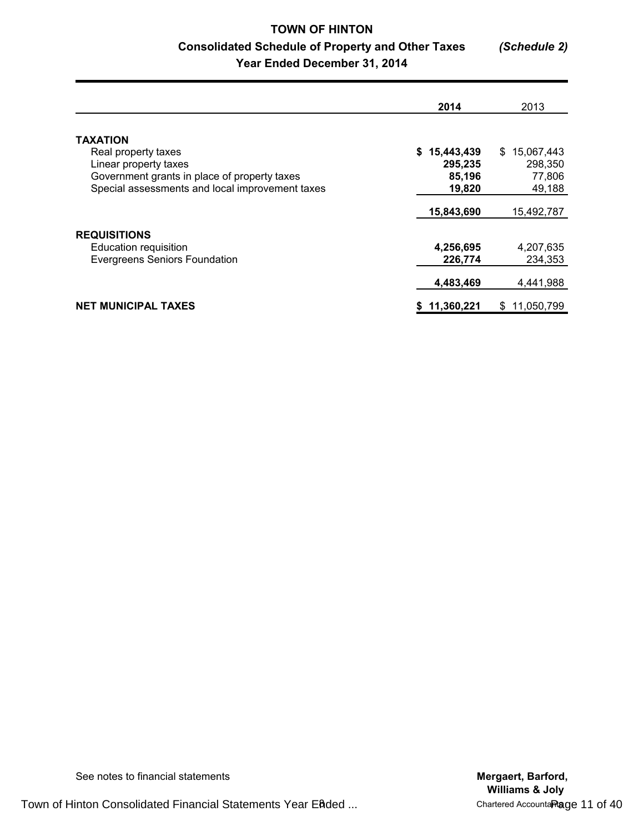## **TOWN OF HINTON Consolidated Schedule of Property and Other Taxes** *(Schedule 2)* **Year Ended December 31, 2014**

|                                                                                                                          | 2014                        | 2013                        |
|--------------------------------------------------------------------------------------------------------------------------|-----------------------------|-----------------------------|
| <b>TAXATION</b><br>Real property taxes                                                                                   | \$15,443,439                | 15,067,443<br>S.            |
| Linear property taxes<br>Government grants in place of property taxes<br>Special assessments and local improvement taxes | 295,235<br>85,196<br>19,820 | 298,350<br>77,806<br>49,188 |
|                                                                                                                          | 15,843,690                  | 15,492,787                  |
| <b>REQUISITIONS</b><br><b>Education requisition</b><br><b>Evergreens Seniors Foundation</b>                              | 4,256,695<br>226,774        | 4,207,635<br>234.353        |
|                                                                                                                          | 4,483,469                   | 4,441,988                   |
| <b>NET MUNICIPAL TAXES</b>                                                                                               | \$11,360,221                | 11,050,799<br>S.            |

See notes to financial statements **Mergaert, Barford, Mergaert, Barford,** 

Town of Hinton Consolidated Financial Statements Year Ended ... Chartered Accountants Page 11 of 40

**Williams & Joly**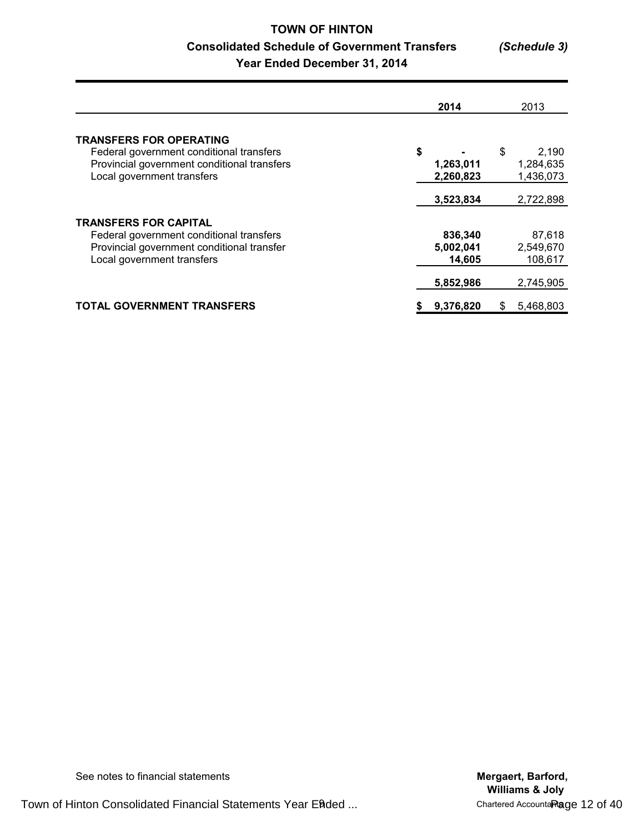## **TOWN OF HINTON Consolidated Schedule of Government Transfers** *(Schedule 3)* **Year Ended December 31, 2014**

|                                                                                                                           | 2014                   | 2013                     |
|---------------------------------------------------------------------------------------------------------------------------|------------------------|--------------------------|
| <b>TRANSFERS FOR OPERATING</b><br>Federal government conditional transfers<br>Provincial government conditional transfers | \$<br>1,263,011        | \$<br>2,190<br>1,284,635 |
| Local government transfers                                                                                                | 2,260,823<br>3,523,834 | 1,436,073<br>2,722,898   |
| <b>TRANSFERS FOR CAPITAL</b><br>Federal government conditional transfers<br>Provincial government conditional transfer    | 836,340<br>5,002,041   | 87,618<br>2,549,670      |
| Local government transfers                                                                                                | 14,605<br>5,852,986    | 108,617<br>2,745,905     |
| <b>TOTAL GOVERNMENT TRANSFERS</b>                                                                                         | 9,376,820              | 5,468,803<br>S           |

See notes to financial statements **Mergaert, Barford, Mergaert, Barford,** 

Town of Hinton Consolidated Financial Statements Year Ended ... Chartered Accountants Page 12 of 40

**Williams & Joly**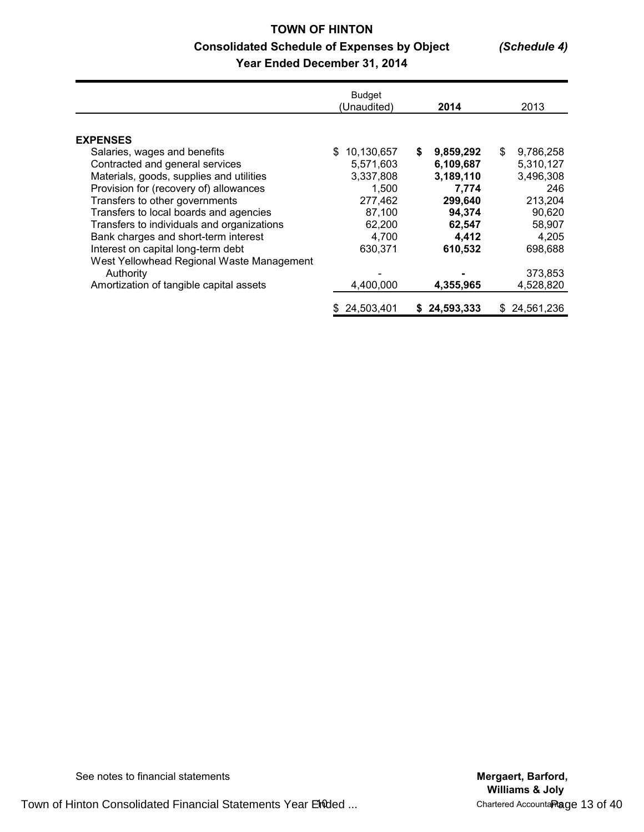## **TOWN OF HINTON Consolidated Schedule of Expenses by Object** *(Schedule 4)* **Year Ended December 31, 2014**

|                                            | <b>Budget</b><br>(Unaudited) | 2014           | 2013             |
|--------------------------------------------|------------------------------|----------------|------------------|
|                                            |                              |                |                  |
| <b>EXPENSES</b>                            |                              |                |                  |
| Salaries, wages and benefits               | 10,130,657<br>S              | 9,859,292<br>S | 9,786,258<br>\$. |
| Contracted and general services            | 5,571,603                    | 6,109,687      | 5,310,127        |
| Materials, goods, supplies and utilities   | 3,337,808                    | 3,189,110      | 3,496,308        |
| Provision for (recovery of) allowances     | 1,500                        | 7,774          | 246              |
| Transfers to other governments             | 277,462                      | 299,640        | 213,204          |
| Transfers to local boards and agencies     | 87,100                       | 94,374         | 90,620           |
| Transfers to individuals and organizations | 62,200                       | 62,547         | 58,907           |
| Bank charges and short-term interest       | 4,700                        | 4,412          | 4,205            |
| Interest on capital long-term debt         | 630,371                      | 610,532        | 698,688          |
| West Yellowhead Regional Waste Management  |                              |                |                  |
| Authority                                  |                              |                | 373,853          |
| Amortization of tangible capital assets    | 4,400,000                    | 4,355,965      | 4,528,820        |
|                                            | 24,503,401                   | \$24,593,333   | \$24,561,236     |

See notes to financial statements **Mergaert, Barford, Mergaert, Barford,** 

Town of Hinton Consolidated Financial Statements Year ENded ... The Chartered Accountant and Page 13 of 40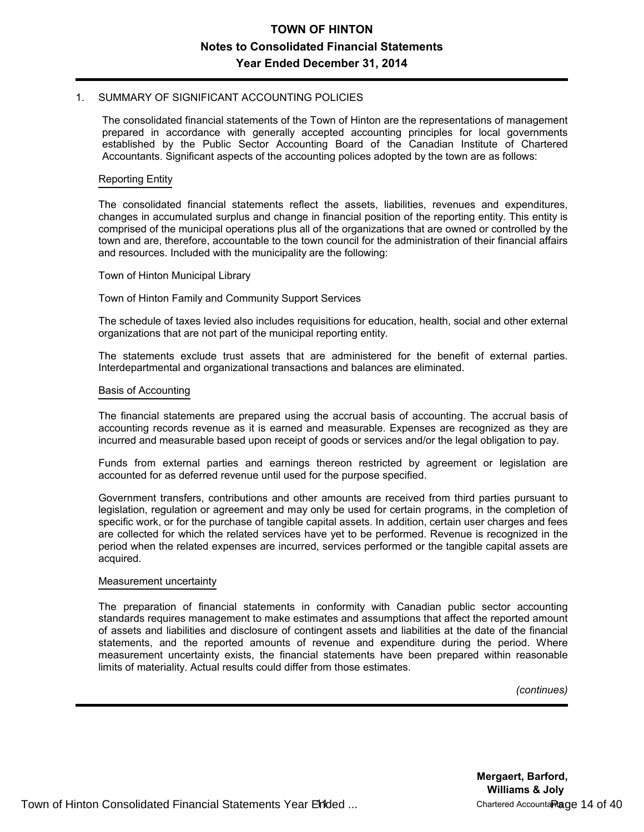#### 1. SUMMARY OF SIGNIFICANT ACCOUNTING POLICIES

The consolidated financial statements of the Town of Hinton are the representations of management prepared in accordance with generally accepted accounting principles for local governments established by the Public Sector Accounting Board of the Canadian Institute of Chartered Accountants. Significant aspects of the accounting polices adopted by the town are as follows:

#### Reporting Entity

The consolidated financial statements reflect the assets, liabilities, revenues and expenditures, changes in accumulated surplus and change in financial position of the reporting entity. This entity is comprised of the municipal operations plus all of the organizations that are owned or controlled by the town and are, therefore, accountable to the town council for the administration of their financial affairs and resources. Included with the municipality are the following:

#### Town of Hinton Municipal Library

Town of Hinton Family and Community Support Services

The schedule of taxes levied also includes requisitions for education, health, social and other external organizations that are not part of the municipal reporting entity.

The statements exclude trust assets that are administered for the benefit of external parties. Interdepartmental and organizational transactions and balances are eliminated.

#### Basis of Accounting

The financial statements are prepared using the accrual basis of accounting. The accrual basis of accounting records revenue as it is earned and measurable. Expenses are recognized as they are incurred and measurable based upon receipt of goods or services and/or the legal obligation to pay.

Funds from external parties and earnings thereon restricted by agreement or legislation are accounted for as deferred revenue until used for the purpose specified.

Government transfers, contributions and other amounts are received from third parties pursuant to legislation, regulation or agreement and may only be used for certain programs, in the completion of specific work, or for the purchase of tangible capital assets. In addition, certain user charges and fees are collected for which the related services have yet to be performed. Revenue is recognized in the period when the related expenses are incurred, services performed or the tangible capital assets are acquired.

#### Measurement uncertainty

The preparation of financial statements in conformity with Canadian public sector accounting standards requires management to make estimates and assumptions that affect the reported amount of assets and liabilities and disclosure of contingent assets and liabilities at the date of the financial statements, and the reported amounts of revenue and expenditure during the period. Where measurement uncertainty exists, the financial statements have been prepared within reasonable limits of materiality. Actual results could differ from those estimates.

*(continues)*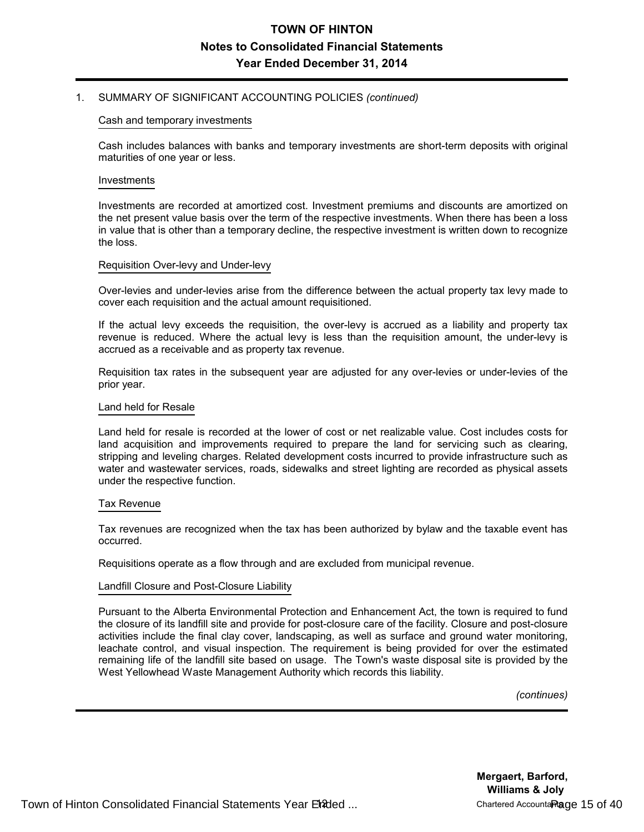#### 1. SUMMARY OF SIGNIFICANT ACCOUNTING POLICIES *(continued)*

#### Cash and temporary investments

Cash includes balances with banks and temporary investments are short-term deposits with original maturities of one year or less.

#### Investments

Investments are recorded at amortized cost. Investment premiums and discounts are amortized on the net present value basis over the term of the respective investments. When there has been a loss in value that is other than a temporary decline, the respective investment is written down to recognize the loss.

#### Requisition Over-levy and Under-levy

Over-levies and under-levies arise from the difference between the actual property tax levy made to cover each requisition and the actual amount requisitioned.

If the actual levy exceeds the requisition, the over-levy is accrued as a liability and property tax revenue is reduced. Where the actual levy is less than the requisition amount, the under-levy is accrued as a receivable and as property tax revenue.

Requisition tax rates in the subsequent year are adjusted for any over-levies or under-levies of the prior year.

#### Land held for Resale

Land held for resale is recorded at the lower of cost or net realizable value. Cost includes costs for land acquisition and improvements required to prepare the land for servicing such as clearing, stripping and leveling charges. Related development costs incurred to provide infrastructure such as water and wastewater services, roads, sidewalks and street lighting are recorded as physical assets under the respective function.

#### Tax Revenue

Tax revenues are recognized when the tax has been authorized by bylaw and the taxable event has occurred.

Requisitions operate as a flow through and are excluded from municipal revenue.

#### Landfill Closure and Post-Closure Liability

Pursuant to the Alberta Environmental Protection and Enhancement Act, the town is required to fund the closure of its landfill site and provide for post-closure care of the facility. Closure and post-closure activities include the final clay cover, landscaping, as well as surface and ground water monitoring, leachate control, and visual inspection. The requirement is being provided for over the estimated remaining life of the landfill site based on usage. The Town's waste disposal site is provided by the West Yellowhead Waste Management Authority which records this liability.

*(continues)*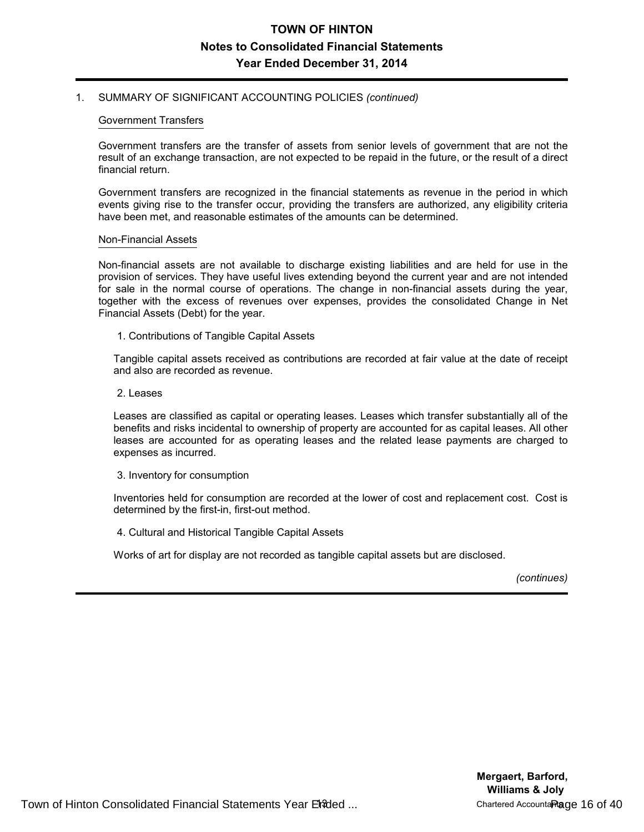#### 1. SUMMARY OF SIGNIFICANT ACCOUNTING POLICIES *(continued)*

#### Government Transfers

Government transfers are the transfer of assets from senior levels of government that are not the result of an exchange transaction, are not expected to be repaid in the future, or the result of a direct financial return.

Government transfers are recognized in the financial statements as revenue in the period in which events giving rise to the transfer occur, providing the transfers are authorized, any eligibility criteria have been met, and reasonable estimates of the amounts can be determined.

#### Non-Financial Assets

Non-financial assets are not available to discharge existing liabilities and are held for use in the provision of services. They have useful lives extending beyond the current year and are not intended for sale in the normal course of operations. The change in non-financial assets during the year, together with the excess of revenues over expenses, provides the consolidated Change in Net Financial Assets (Debt) for the year.

1. Contributions of Tangible Capital Assets

Tangible capital assets received as contributions are recorded at fair value at the date of receipt and also are recorded as revenue.

2. Leases

Leases are classified as capital or operating leases. Leases which transfer substantially all of the benefits and risks incidental to ownership of property are accounted for as capital leases. All other leases are accounted for as operating leases and the related lease payments are charged to expenses as incurred.

#### 3. Inventory for consumption

Inventories held for consumption are recorded at the lower of cost and replacement cost. Cost is determined by the first-in, first-out method.

4. Cultural and Historical Tangible Capital Assets

Works of art for display are not recorded as tangible capital assets but are disclosed.

*(continues)*

Town of Hinton Consolidated Financial Statements Year Ended ... The Chartered Accountants are 16 of 40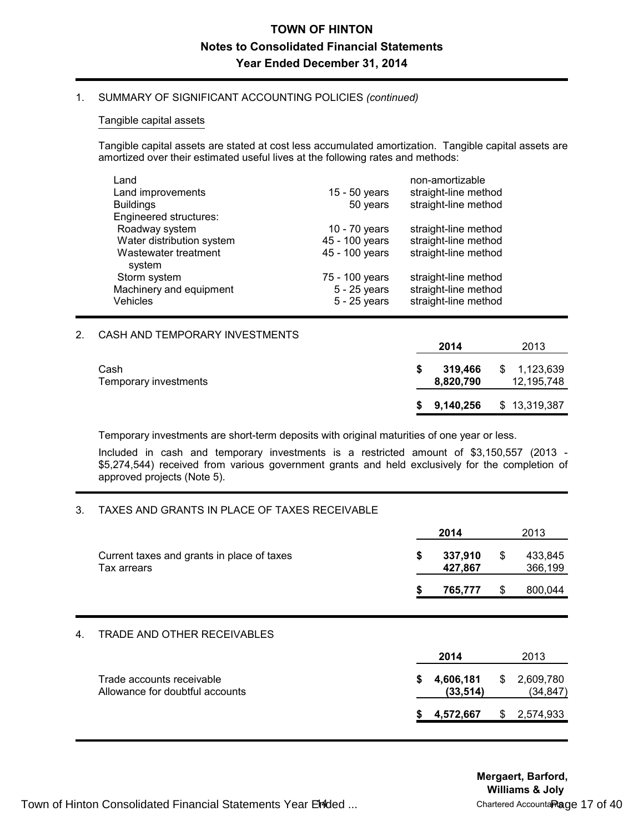#### 1. SUMMARY OF SIGNIFICANT ACCOUNTING POLICIES *(continued)*

#### Tangible capital assets

Tangible capital assets are stated at cost less accumulated amortization. Tangible capital assets are amortized over their estimated useful lives at the following rates and methods:

| Land                           |                | non-amortizable      |
|--------------------------------|----------------|----------------------|
| Land improvements              | 15 - 50 years  | straight-line method |
| <b>Buildings</b>               | 50 years       | straight-line method |
| Engineered structures:         |                |                      |
| Roadway system                 | 10 - 70 years  | straight-line method |
| Water distribution system      | 45 - 100 years | straight-line method |
| Wastewater treatment<br>system | 45 - 100 years | straight-line method |
| Storm system                   | 75 - 100 years | straight-line method |
| Machinery and equipment        | 5 - 25 years   | straight-line method |
| <b>Vehicles</b>                | $5 - 25$ years | straight-line method |

#### 2. CASH AND TEMPORARY INVESTMENTS

|                               |    | 2014                 | 2013                      |
|-------------------------------|----|----------------------|---------------------------|
| Cash<br>Temporary investments |    | 319,466<br>8,820,790 | \$1,123,639<br>12,195,748 |
|                               | S. | 9,140,256            | \$13,319,387              |

Temporary investments are short-term deposits with original maturities of one year or less.

Included in cash and temporary investments is a restricted amount of \$3,150,557 (2013 - \$5,274,544) received from various government grants and held exclusively for the completion of approved projects (Note 5).

#### 3. TAXES AND GRANTS IN PLACE OF TAXES RECEIVABLE

|    |                                                              |    | 2014                   |    | 2013                   |
|----|--------------------------------------------------------------|----|------------------------|----|------------------------|
|    | Current taxes and grants in place of taxes<br>Tax arrears    | \$ | 337,910<br>427,867     | \$ | 433,845<br>366,199     |
|    |                                                              |    | 765,777                | S  | 800,044                |
|    |                                                              |    |                        |    |                        |
| 4. | TRADE AND OTHER RECEIVABLES                                  |    |                        |    |                        |
|    |                                                              |    | 2014                   |    | 2013                   |
|    | Trade accounts receivable<br>Allowance for doubtful accounts | S  | 4,606,181<br>(33, 514) | \$ | 2,609,780<br>(34, 847) |
|    |                                                              | S  | 4,572,667              | S  | 2,574,933              |
|    |                                                              |    |                        |    |                        |

Town of Hinton Consolidated Financial Statements Year Ended ... The Statement Chartered Accountants Page 17 of 40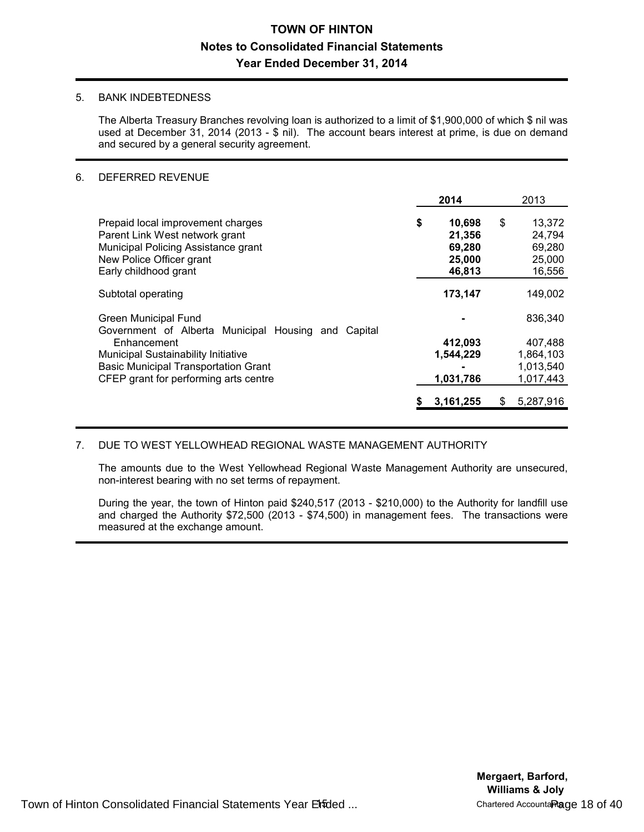#### 5. BANK INDEBTEDNESS

The Alberta Treasury Branches revolving loan is authorized to a limit of \$1,900,000 of which \$ nil was used at December 31, 2014 (2013 - \$ nil). The account bears interest at prime, is due on demand and secured by a general security agreement.

#### 6. DEFERRED REVENUE

|                                                                                                                                                                 | 2014                                                 |    | 2013                                           |
|-----------------------------------------------------------------------------------------------------------------------------------------------------------------|------------------------------------------------------|----|------------------------------------------------|
| Prepaid local improvement charges<br>Parent Link West network grant<br>Municipal Policing Assistance grant<br>New Police Officer grant<br>Early childhood grant | \$<br>10,698<br>21,356<br>69,280<br>25,000<br>46,813 | \$ | 13,372<br>24.794<br>69,280<br>25,000<br>16,556 |
| Subtotal operating                                                                                                                                              | 173,147                                              |    | 149,002                                        |
| <b>Green Municipal Fund</b><br>Government of Alberta Municipal Housing and Capital                                                                              |                                                      |    | 836.340                                        |
| Enhancement                                                                                                                                                     | 412,093                                              |    | 407,488                                        |
| <b>Municipal Sustainability Initiative</b>                                                                                                                      | 1,544,229                                            |    | 1,864,103                                      |
| <b>Basic Municipal Transportation Grant</b>                                                                                                                     |                                                      |    | 1,013,540                                      |
| CFEP grant for performing arts centre                                                                                                                           | 1,031,786                                            |    | 1,017,443                                      |
|                                                                                                                                                                 | 3,161,255                                            | S  | 5,287,916                                      |

#### 7. DUE TO WEST YELLOWHEAD REGIONAL WASTE MANAGEMENT AUTHORITY

The amounts due to the West Yellowhead Regional Waste Management Authority are unsecured, non-interest bearing with no set terms of repayment.

During the year, the town of Hinton paid \$240,517 (2013 - \$210,000) to the Authority for landfill use and charged the Authority \$72,500 (2013 - \$74,500) in management fees. The transactions were measured at the exchange amount.

Town of Hinton Consolidated Financial Statements Year Elfded ... The Statement Chartered Accountants age 18 of 40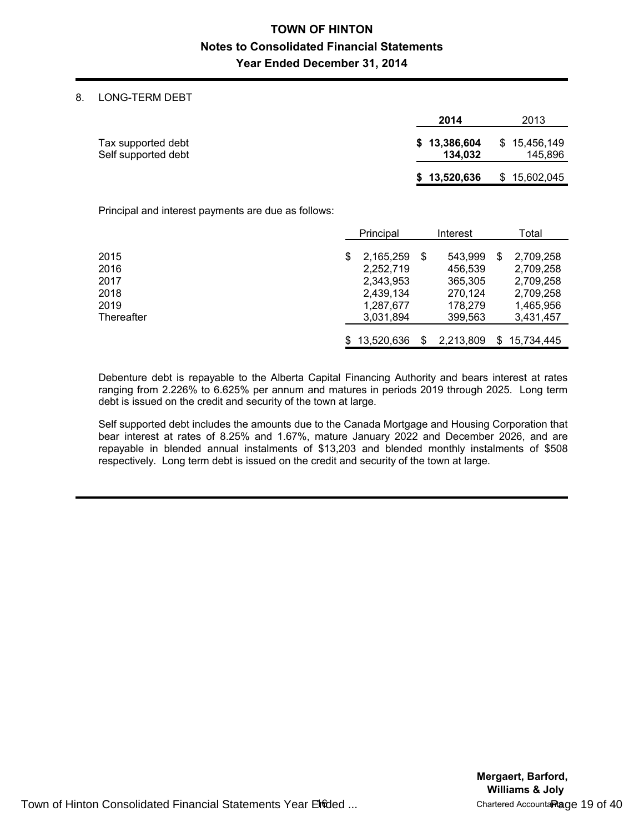#### 8. LONG-TERM DEBT

|                                           | 2014                    | 2013                    |
|-------------------------------------------|-------------------------|-------------------------|
| Tax supported debt<br>Self supported debt | \$13,386,604<br>134.032 | \$15,456,149<br>145,896 |
|                                           | \$13,520,636            | 15,602,045<br>S.        |

Principal and interest payments are due as follows:

|            | Principal    |   | Interest  |    | Total      |
|------------|--------------|---|-----------|----|------------|
|            |              |   |           |    |            |
| 2015       | 2.165.259    | S | 543.999   |    | 2.709.258  |
| 2016       | 2,252,719    |   | 456,539   |    | 2,709,258  |
| 2017       | 2,343,953    |   | 365,305   |    | 2,709,258  |
| 2018       | 2,439,134    |   | 270.124   |    | 2,709,258  |
| 2019       | 1,287,677    |   | 178,279   |    | 1,465,956  |
| Thereafter | 3.031.894    |   | 399,563   |    | 3,431,457  |
|            |              |   |           |    |            |
|            | \$13,520,636 | S | 2,213,809 | S. | 15,734,445 |

Debenture debt is repayable to the Alberta Capital Financing Authority and bears interest at rates ranging from 2.226% to 6.625% per annum and matures in periods 2019 through 2025. Long term debt is issued on the credit and security of the town at large.

Self supported debt includes the amounts due to the Canada Mortgage and Housing Corporation that bear interest at rates of 8.25% and 1.67%, mature January 2022 and December 2026, and are repayable in blended annual instalments of \$13,203 and blended monthly instalments of \$508 respectively. Long term debt is issued on the credit and security of the town at large.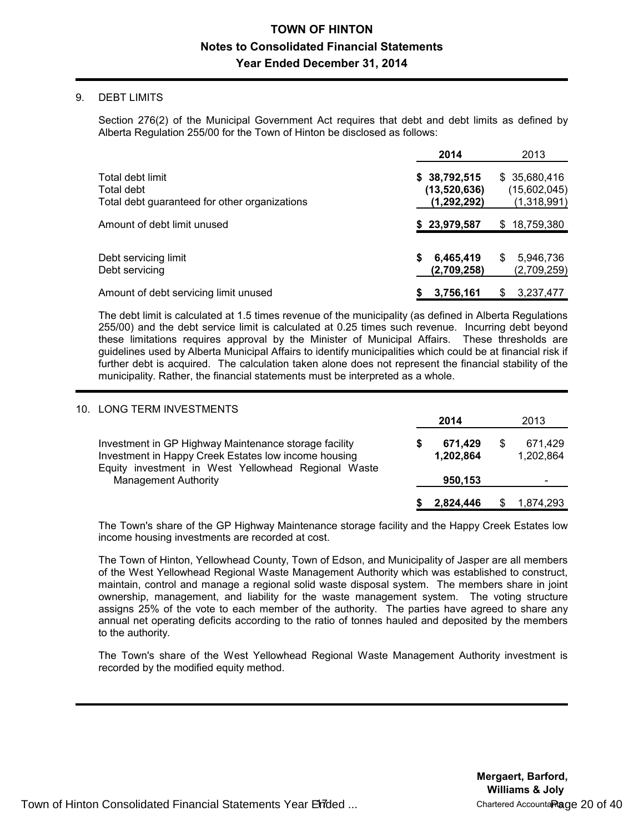#### 9. DEBT LIMITS

Section 276(2) of the Municipal Government Act requires that debt and debt limits as defined by Alberta Regulation 255/00 for the Town of Hinton be disclosed as follows:

|                                                                                 | 2014                                          | 2013                                         |
|---------------------------------------------------------------------------------|-----------------------------------------------|----------------------------------------------|
| Total debt limit<br>Total debt<br>Total debt guaranteed for other organizations | \$38,792,515<br>(13,520,636)<br>(1, 292, 292) | \$ 35,680,416<br>(15,602,045)<br>(1,318,991) |
| Amount of debt limit unused                                                     | \$23,979,587                                  | 18,759,380<br>S.                             |
| Debt servicing limit<br>Debt servicing                                          | 6,465,419<br>S<br>(2,709,258)                 | 5,946,736<br>S<br>(2,709,259)                |
| Amount of debt servicing limit unused                                           | 3,756,161                                     | 3,237,477<br>\$                              |

The debt limit is calculated at 1.5 times revenue of the municipality (as defined in Alberta Regulations 255/00) and the debt service limit is calculated at 0.25 times such revenue. Incurring debt beyond these limitations requires approval by the Minister of Municipal Affairs. These thresholds are guidelines used by Alberta Municipal Affairs to identify municipalities which could be at financial risk if further debt is acquired. The calculation taken alone does not represent the financial stability of the municipality. Rather, the financial statements must be interpreted as a whole.

| 10. LONG TERM INVESTMENTS                                                                                   | 2014      | 2013      |
|-------------------------------------------------------------------------------------------------------------|-----------|-----------|
|                                                                                                             |           |           |
| Investment in GP Highway Maintenance storage facility                                                       | 671,429   | 671.429   |
| Investment in Happy Creek Estates low income housing<br>Equity investment in West Yellowhead Regional Waste | 1,202,864 | 1,202,864 |
| <b>Management Authority</b>                                                                                 | 950,153   |           |
|                                                                                                             | 2,824,446 | 1,874,293 |
|                                                                                                             |           |           |

The Town's share of the GP Highway Maintenance storage facility and the Happy Creek Estates low income housing investments are recorded at cost.

The Town of Hinton, Yellowhead County, Town of Edson, and Municipality of Jasper are all members of the West Yellowhead Regional Waste Management Authority which was established to construct, maintain, control and manage a regional solid waste disposal system. The members share in joint ownership, management, and liability for the waste management system. The voting structure assigns 25% of the vote to each member of the authority. The parties have agreed to share any annual net operating deficits according to the ratio of tonnes hauled and deposited by the members to the authority.

The Town's share of the West Yellowhead Regional Waste Management Authority investment is recorded by the modified equity method.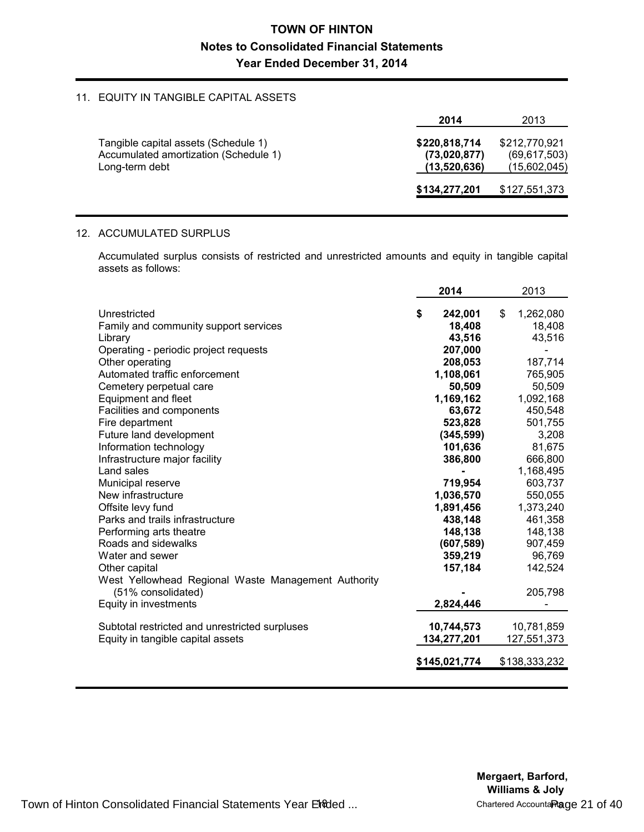#### 11. EQUITY IN TANGIBLE CAPITAL ASSETS

| 2014                                          | 2013                                            |
|-----------------------------------------------|-------------------------------------------------|
| \$220,818,714<br>(73,020,877)<br>(13,520,636) | \$212,770.921<br>(69, 617, 503)<br>(15,602,045) |
| \$134,277,201                                 | \$127,551,373                                   |
|                                               |                                                 |

#### 12. ACCUMULATED SURPLUS

Accumulated surplus consists of restricted and unrestricted amounts and equity in tangible capital assets as follows:

|                                                     | 2014          | 2013            |
|-----------------------------------------------------|---------------|-----------------|
| Unrestricted                                        | \$<br>242,001 | \$<br>1,262,080 |
| Family and community support services               | 18,408        | 18,408          |
| Library                                             | 43,516        | 43,516          |
| Operating - periodic project requests               | 207,000       |                 |
| Other operating                                     | 208,053       | 187,714         |
| Automated traffic enforcement                       | 1,108,061     | 765,905         |
| Cemetery perpetual care                             | 50,509        | 50,509          |
| <b>Equipment and fleet</b>                          | 1,169,162     | 1,092,168       |
| Facilities and components                           | 63,672        | 450,548         |
| Fire department                                     | 523,828       | 501,755         |
| Future land development                             | (345, 599)    | 3,208           |
| Information technology                              | 101,636       | 81,675          |
| Infrastructure major facility                       | 386,800       | 666,800         |
| Land sales                                          |               | 1,168,495       |
| Municipal reserve                                   | 719,954       | 603,737         |
| New infrastructure                                  | 1,036,570     | 550,055         |
| Offsite levy fund                                   | 1,891,456     | 1,373,240       |
| Parks and trails infrastructure                     | 438,148       | 461,358         |
| Performing arts theatre                             | 148,138       | 148,138         |
| Roads and sidewalks                                 | (607, 589)    | 907,459         |
| Water and sewer                                     | 359,219       | 96,769          |
| Other capital                                       | 157,184       | 142,524         |
| West Yellowhead Regional Waste Management Authority |               |                 |
| (51% consolidated)                                  |               | 205,798         |
| Equity in investments                               | 2,824,446     |                 |
| Subtotal restricted and unrestricted surpluses      | 10,744,573    | 10,781,859      |
| Equity in tangible capital assets                   | 134,277,201   | 127,551,373     |
|                                                     |               |                 |
|                                                     | \$145,021,774 | \$138,333,232   |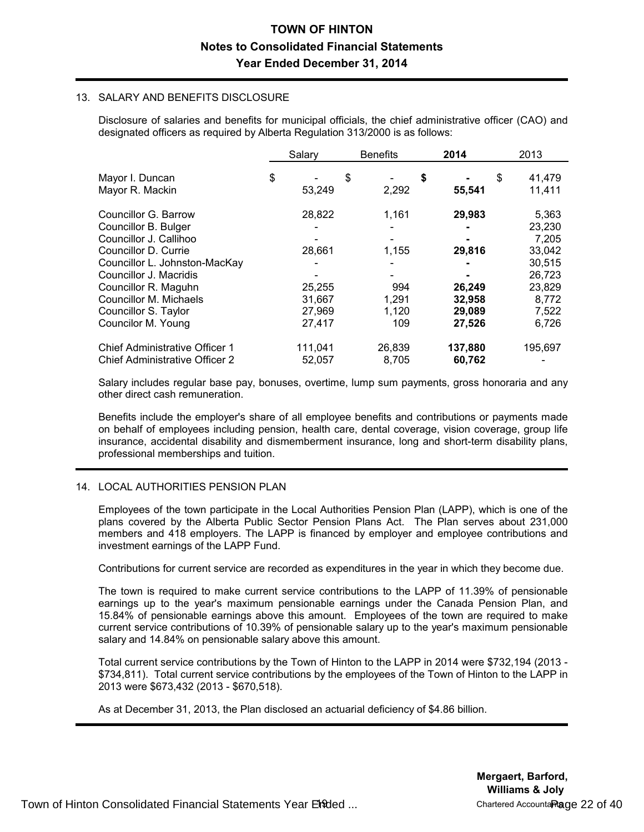#### 13. SALARY AND BENEFITS DISCLOSURE

Disclosure of salaries and benefits for municipal officials, the chief administrative officer (CAO) and designated officers as required by Alberta Regulation 313/2000 is as follows:

|                                                                                                                                                                                                                                                           | Salary                                                   | <b>Benefits</b>                                | 2014                                                     | 2013                                                                                        |
|-----------------------------------------------------------------------------------------------------------------------------------------------------------------------------------------------------------------------------------------------------------|----------------------------------------------------------|------------------------------------------------|----------------------------------------------------------|---------------------------------------------------------------------------------------------|
| Mayor I. Duncan<br>Mayor R. Mackin                                                                                                                                                                                                                        | \$<br>53,249                                             | \$<br>2,292                                    | \$<br>55,541                                             | \$<br>41,479<br>11,411                                                                      |
| Councillor G. Barrow<br>Councillor B. Bulger<br>Councillor J. Callihoo<br>Councillor D. Currie<br>Councillor L. Johnston-MacKay<br>Councillor J. Macridis<br>Councillor R. Maguhn<br>Councillor M. Michaels<br>Councillor S. Taylor<br>Councilor M. Young | 28,822<br>28,661<br>25,255<br>31.667<br>27.969<br>27,417 | 1,161<br>1,155<br>994<br>1.291<br>1,120<br>109 | 29,983<br>29,816<br>26,249<br>32,958<br>29,089<br>27,526 | 5,363<br>23,230<br>7,205<br>33,042<br>30,515<br>26,723<br>23,829<br>8,772<br>7,522<br>6,726 |
| Chief Administrative Officer 1<br><b>Chief Administrative Officer 2</b>                                                                                                                                                                                   | 111,041<br>52.057                                        | 26,839<br>8.705                                | 137,880<br>60,762                                        | 195,697                                                                                     |

Salary includes regular base pay, bonuses, overtime, lump sum payments, gross honoraria and any other direct cash remuneration.

Benefits include the employer's share of all employee benefits and contributions or payments made on behalf of employees including pension, health care, dental coverage, vision coverage, group life insurance, accidental disability and dismemberment insurance, long and short-term disability plans, professional memberships and tuition.

#### 14. LOCAL AUTHORITIES PENSION PLAN

Employees of the town participate in the Local Authorities Pension Plan (LAPP), which is one of the plans covered by the Alberta Public Sector Pension Plans Act. The Plan serves about 231,000 members and 418 employers. The LAPP is financed by employer and employee contributions and investment earnings of the LAPP Fund.

Contributions for current service are recorded as expenditures in the year in which they become due.

The town is required to make current service contributions to the LAPP of 11.39% of pensionable earnings up to the year's maximum pensionable earnings under the Canada Pension Plan, and 15.84% of pensionable earnings above this amount. Employees of the town are required to make current service contributions of 10.39% of pensionable salary up to the year's maximum pensionable salary and 14.84% on pensionable salary above this amount.

Total current service contributions by the Town of Hinton to the LAPP in 2014 were \$732,194 (2013 - \$734,811). Total current service contributions by the employees of the Town of Hinton to the LAPP in 2013 were \$673,432 (2013 - \$670,518).

As at December 31, 2013, the Plan disclosed an actuarial deficiency of \$4.86 billion.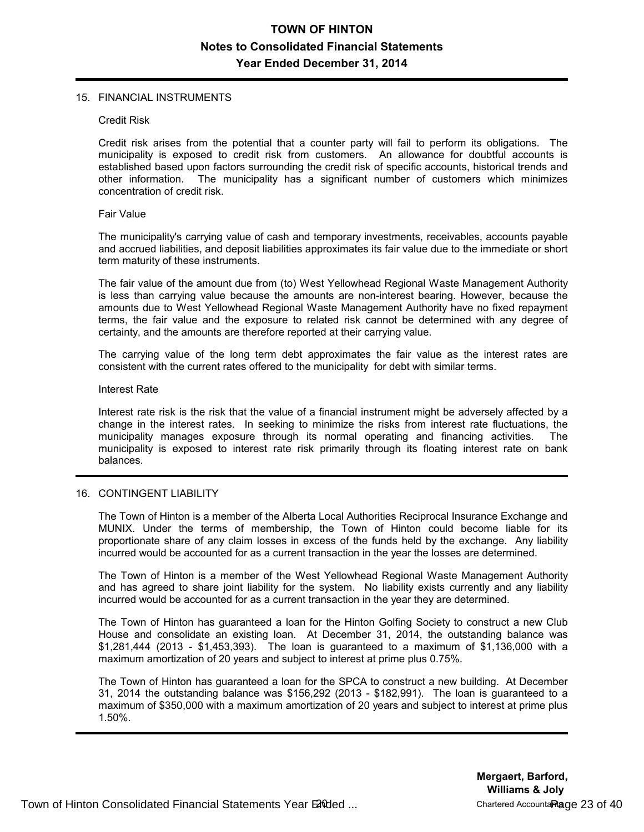#### 15. FINANCIAL INSTRUMENTS

Credit Risk

Credit risk arises from the potential that a counter party will fail to perform its obligations. The municipality is exposed to credit risk from customers. An allowance for doubtful accounts is established based upon factors surrounding the credit risk of specific accounts, historical trends and other information. The municipality has a significant number of customers which minimizes The municipality has a significant number of customers which minimizes concentration of credit risk.

#### Fair Value

The municipality's carrying value of cash and temporary investments, receivables, accounts payable and accrued liabilities, and deposit liabilities approximates its fair value due to the immediate or short term maturity of these instruments.

The fair value of the amount due from (to) West Yellowhead Regional Waste Management Authority is less than carrying value because the amounts are non-interest bearing. However, because the amounts due to West Yellowhead Regional Waste Management Authority have no fixed repayment terms, the fair value and the exposure to related risk cannot be determined with any degree of certainty, and the amounts are therefore reported at their carrying value.

The carrying value of the long term debt approximates the fair value as the interest rates are consistent with the current rates offered to the municipality for debt with similar terms.

#### Interest Rate

Interest rate risk is the risk that the value of a financial instrument might be adversely affected by a change in the interest rates. In seeking to minimize the risks from interest rate fluctuations, the municipality manages exposure through its normal operating and financing activities. The municipality is exposed to interest rate risk primarily through its floating interest rate on bank balances.

#### 16. CONTINGENT LIABILITY

The Town of Hinton is a member of the Alberta Local Authorities Reciprocal Insurance Exchange and MUNIX. Under the terms of membership, the Town of Hinton could become liable for its proportionate share of any claim losses in excess of the funds held by the exchange. Any liability incurred would be accounted for as a current transaction in the year the losses are determined.

The Town of Hinton is a member of the West Yellowhead Regional Waste Management Authority and has agreed to share joint liability for the system. No liability exists currently and any liability incurred would be accounted for as a current transaction in the year they are determined.

The Town of Hinton has guaranteed a loan for the Hinton Golfing Society to construct a new Club House and consolidate an existing loan. At December 31, 2014, the outstanding balance was \$1,281,444 (2013 - \$1,453,393). The loan is guaranteed to a maximum of \$1,136,000 with a maximum amortization of 20 years and subject to interest at prime plus 0.75%.

The Town of Hinton has guaranteed a loan for the SPCA to construct a new building. At December 31, 2014 the outstanding balance was \$156,292 (2013 - \$182,991). The loan is guaranteed to a maximum of \$350,000 with a maximum amortization of 20 years and subject to interest at prime plus 1.50%.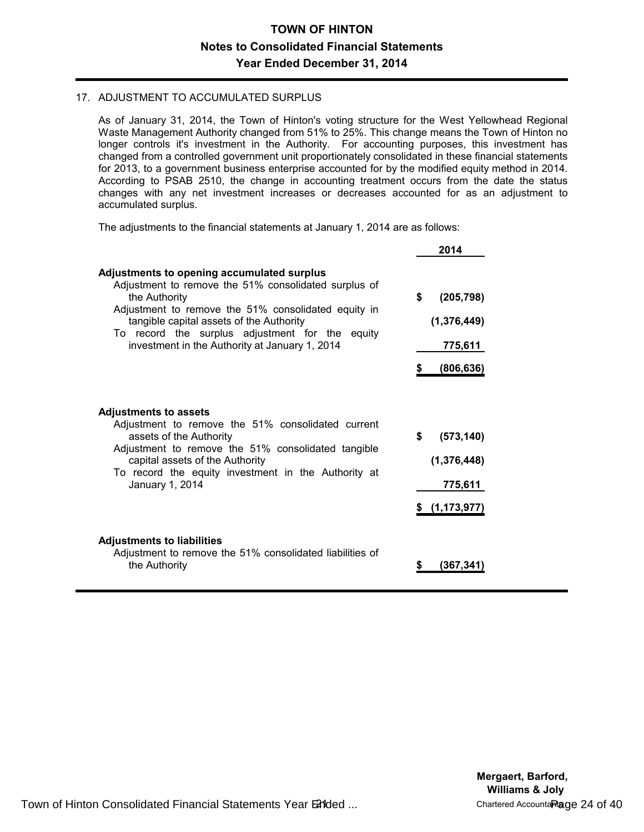#### 17. ADJUSTMENT TO ACCUMULATED SURPLUS

As of January 31, 2014, the Town of Hinton's voting structure for the West Yellowhead Regional Waste Management Authority changed from 51% to 25%. This change means the Town of Hinton no longer controls it's investment in the Authority. For accounting purposes, this investment has changed from a controlled government unit proportionately consolidated in these financial statements for 2013, to a government business enterprise accounted for by the modified equity method in 2014. According to PSAB 2510, the change in accounting treatment occurs from the date the status changes with any net investment increases or decreases accounted for as an adjustment to accumulated surplus.

**2014**

The adjustments to the financial statements at January 1, 2014 are as follows:

|                                                                                                                                                                                                                                                                                                                             | ZU14                                                              |
|-----------------------------------------------------------------------------------------------------------------------------------------------------------------------------------------------------------------------------------------------------------------------------------------------------------------------------|-------------------------------------------------------------------|
| Adjustments to opening accumulated surplus<br>Adjustment to remove the 51% consolidated surplus of<br>the Authority<br>Adjustment to remove the 51% consolidated equity in<br>tangible capital assets of the Authority<br>To record the surplus adjustment for the equity<br>investment in the Authority at January 1, 2014 | \$<br>(205, 798)<br>(1,376,449)<br>775,611<br>(806, 636)<br>S     |
| <b>Adjustments to assets</b><br>Adjustment to remove the 51% consolidated current<br>assets of the Authority<br>Adjustment to remove the 51% consolidated tangible<br>capital assets of the Authority<br>To record the equity investment in the Authority at<br>January 1, 2014                                             | \$<br>(573, 140)<br>(1,376,448)<br>775,611<br>(1, 173, 977)<br>S. |
| <b>Adjustments to liabilities</b><br>Adjustment to remove the 51% consolidated liabilities of<br>the Authority                                                                                                                                                                                                              | (367,341                                                          |

Town of Hinton Consolidated Financial Statements Year Ended ... 21 Chartered Accountants Page 24 of 40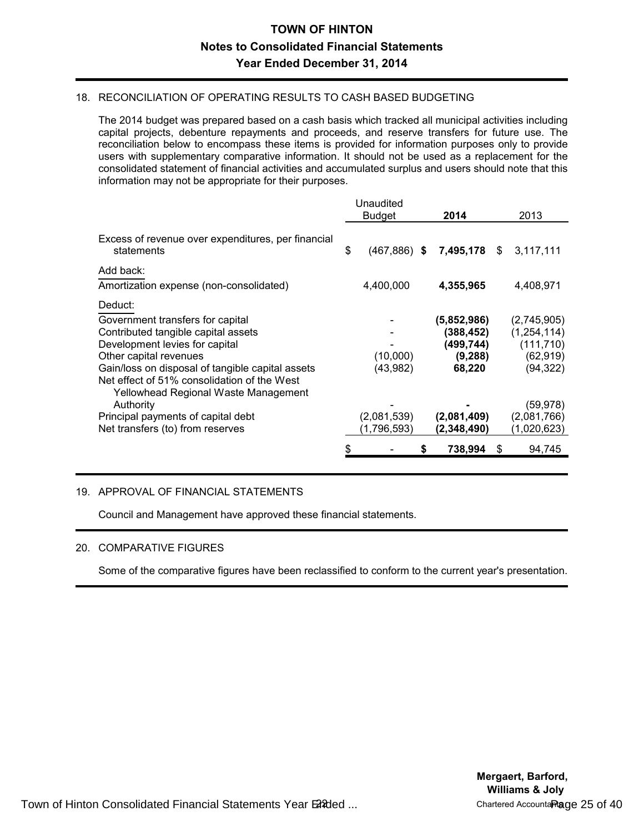#### 18. RECONCILIATION OF OPERATING RESULTS TO CASH BASED BUDGETING

The 2014 budget was prepared based on a cash basis which tracked all municipal activities including capital projects, debenture repayments and proceeds, and reserve transfers for future use. The reconciliation below to encompass these items is provided for information purposes only to provide users with supplementary comparative information. It should not be used as a replacement for the consolidated statement of financial activities and accumulated surplus and users should note that this information may not be appropriate for their purposes.

|                                                                                                                                                                                                                                                   | Unaudited                  |   |                                                             |    |                                                                      |
|---------------------------------------------------------------------------------------------------------------------------------------------------------------------------------------------------------------------------------------------------|----------------------------|---|-------------------------------------------------------------|----|----------------------------------------------------------------------|
|                                                                                                                                                                                                                                                   | <b>Budget</b>              |   | 2014                                                        |    | 2013                                                                 |
| Excess of revenue over expenditures, per financial<br>statements                                                                                                                                                                                  | \$<br>$(467,886)$ \$       |   | 7,495,178                                                   | \$ | 3,117,111                                                            |
| Add back:<br>Amortization expense (non-consolidated)                                                                                                                                                                                              | 4,400,000                  |   | 4,355,965                                                   |    | 4,408,971                                                            |
| Deduct:<br>Government transfers for capital<br>Contributed tangible capital assets<br>Development levies for capital<br>Other capital revenues<br>Gain/loss on disposal of tangible capital assets<br>Net effect of 51% consolidation of the West | (10,000)<br>(43,982)       |   | (5,852,986)<br>(388,452)<br>(499,744)<br>(9, 288)<br>68,220 |    | (2,745,905)<br>(1, 254, 114)<br>(111, 710)<br>(62, 919)<br>(94, 322) |
| Yellowhead Regional Waste Management<br>Authority<br>Principal payments of capital debt<br>Net transfers (to) from reserves                                                                                                                       | (2,081,539)<br>(1,796,593) | 5 | (2,081,409)<br>(2,348,490)<br>738,994                       | S  | (59,978)<br>(2,081,766)<br>(1,020,623)<br>94,745                     |

#### 19. APPROVAL OF FINANCIAL STATEMENTS

Council and Management have approved these financial statements.

#### 20. COMPARATIVE FIGURES

Some of the comparative figures have been reclassified to conform to the current year's presentation.

Town of Hinton Consolidated Financial Statements Year Ended ... 22 Chartered Accountants age 25 of 40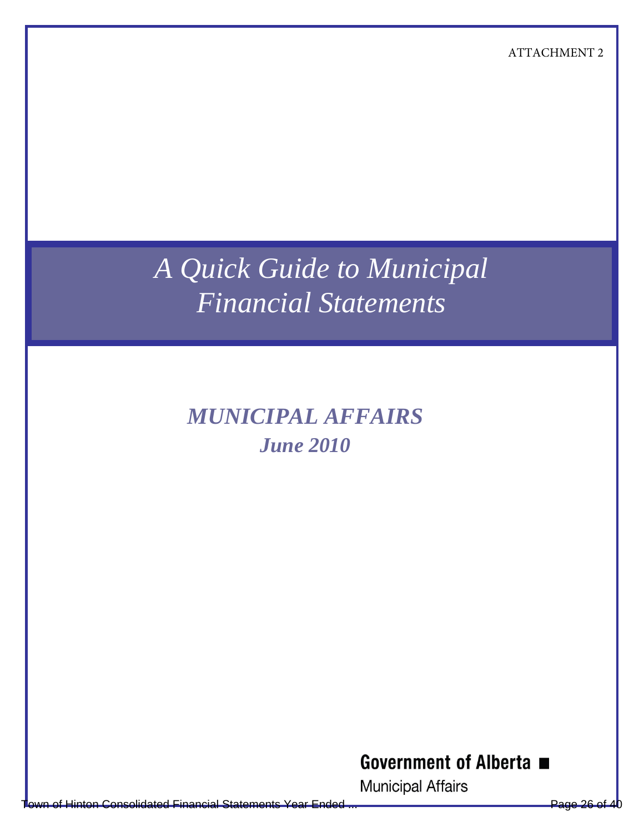ATTACHMENT 2

# *A Quick Guide to Municipal Financial Statements*

## *MUNICIPAL AFFAIRS June 2010*

## Government of Alberta ■

**Municipal Affairs** 

Town of Hinton Consolidated Financial Statements Year Ended ... Page 26 of 40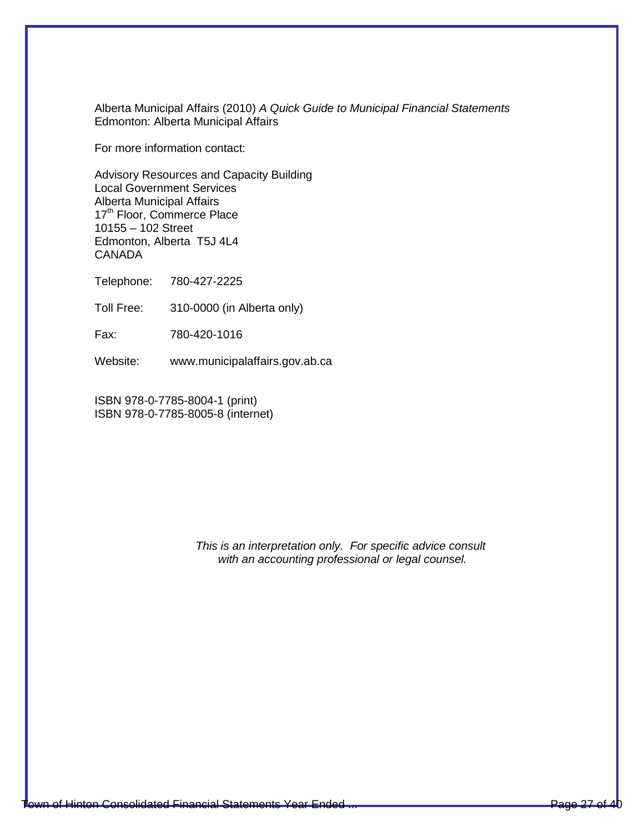Alberta Municipal Affairs (2010) *A Quick Guide to Municipal Financial Statements* Edmonton: Alberta Municipal Affairs

For more information contact:

Advisory Resources and Capacity Building Local Government Services Alberta Municipal Affairs 17<sup>th</sup> Floor, Commerce Place 10155 – 102 Street Edmonton, Alberta T5J 4L4 CANADA

Telephone: 780-427-2225

Toll Free: 310-0000 (in Alberta only)

Fax: 780-420-1016

Website: www.municipalaffairs.gov.ab.ca

ISBN 978-0-7785-8004-1 (print) ISBN 978-0-7785-8005-8 (internet)

> *This is an interpretation only. For specific advice consult with an accounting professional or legal counsel.*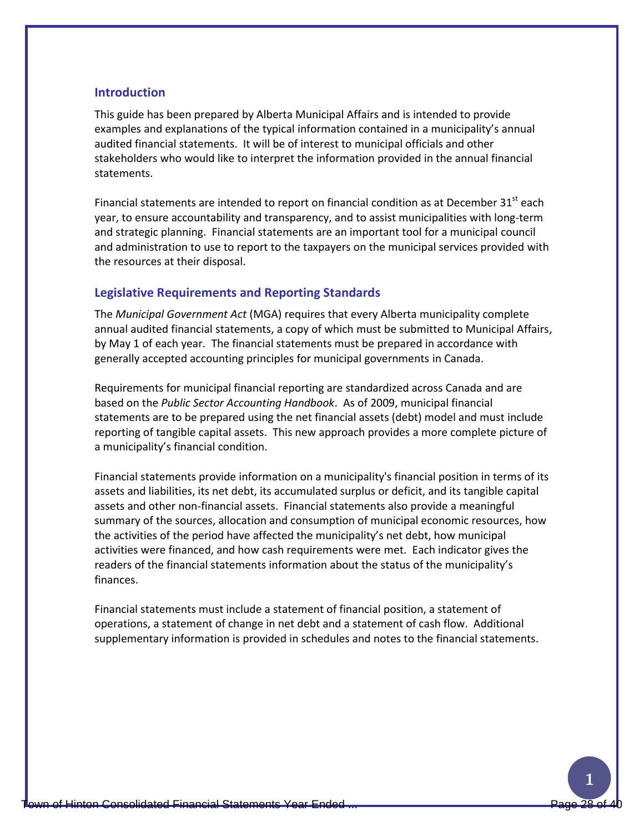#### **Introduction**

This guide has been prepared by Alberta Municipal Affairs and is intended to provide examples and explanations of the typical information contained in a municipality's annual audited financial statements. It will be of interest to municipal officials and other stakeholders who would like to interpret the information provided in the annual financial statements.

Financial statements are intended to report on financial condition as at December  $31<sup>st</sup>$  each year, to ensure accountability and transparency, and to assist municipalities with long-term and strategic planning. Financial statements are an important tool for a municipal council and administration to use to report to the taxpayers on the municipal services provided with the resources at their disposal.

#### **Legislative Requirements and Reporting Standards**

The *Municipal Government Act* (MGA) requires that every Alberta municipality complete annual audited financial statements, a copy of which must be submitted to Municipal Affairs, by May 1 of each year. The financial statements must be prepared in accordance with generally accepted accounting principles for municipal governments in Canada.

Requirements for municipal financial reporting are standardized across Canada and are based on the *Public Sector Accounting Handbook*. As of 2009, municipal financial statements are to be prepared using the net financial assets (debt) model and must include reporting of tangible capital assets. This new approach provides a more complete picture of a municipality's financial condition.

Financial statements provide information on a municipality's financial position in terms of its assets and liabilities, its net debt, its accumulated surplus or deficit, and its tangible capital assets and other non-financial assets. Financial statements also provide a meaningful summary of the sources, allocation and consumption of municipal economic resources, how the activities of the period have affected the municipality's net debt, how municipal activities were financed, and how cash requirements were met. Each indicator gives the readers of the financial statements information about the status of the municipality's finances.

Financial statements must include a statement of financial position, a statement of operations, a statement of change in net debt and a statement of cash flow. Additional supplementary information is provided in schedules and notes to the financial statements.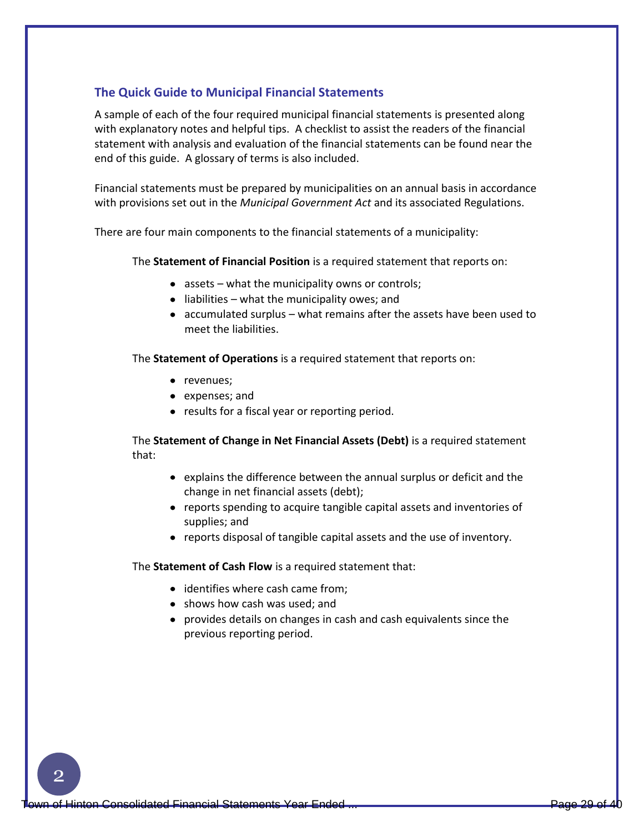#### **The Quick Guide to Municipal Financial Statements**

A sample of each of the four required municipal financial statements is presented along with explanatory notes and helpful tips. A checklist to assist the readers of the financial statement with analysis and evaluation of the financial statements can be found near the end of this guide. A glossary of terms is also included.

Financial statements must be prepared by municipalities on an annual basis in accordance with provisions set out in the *Municipal Government Act* and its associated Regulations.

There are four main components to the financial statements of a municipality:

The **Statement of Financial Position** is a required statement that reports on:

- $\bullet$  assets what the municipality owns or controls;
- $\bullet$  liabilities what the municipality owes; and
- accumulated surplus what remains after the assets have been used to meet the liabilities.

The **Statement of Operations** is a required statement that reports on:

- revenues;
- expenses; and
- results for a fiscal year or reporting period.

The **Statement of Change in Net Financial Assets (Debt)** is a required statement that:

- explains the difference between the annual surplus or deficit and the change in net financial assets (debt);
- reports spending to acquire tangible capital assets and inventories of supplies; and
- reports disposal of tangible capital assets and the use of inventory.

The **Statement of Cash Flow** is a required statement that:

- identifies where cash came from;
- shows how cash was used; and
- provides details on changes in cash and cash equivalents since the previous reporting period.

2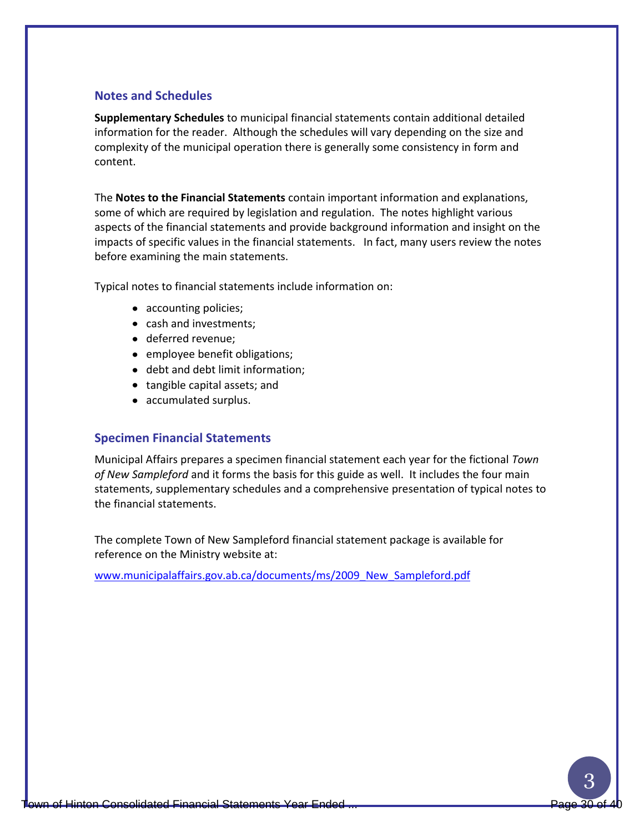### **Notes and Schedules**

**Supplementary Schedules** to municipal financial statements contain additional detailed information for the reader. Although the schedules will vary depending on the size and complexity of the municipal operation there is generally some consistency in form and content.

The **Notes to the Financial Statements** contain important information and explanations, some of which are required by legislation and regulation. The notes highlight various aspects of the financial statements and provide background information and insight on the impacts of specific values in the financial statements. In fact, many users review the notes before examining the main statements.

Typical notes to financial statements include information on:

- accounting policies;
- cash and investments;
- deferred revenue:
- employee benefit obligations;
- debt and debt limit information;
- tangible capital assets; and
- accumulated surplus.

#### **Specimen Financial Statements**

Municipal Affairs prepares a specimen financial statement each year for the fictional *Town of New Sampleford* and it forms the basis for this guide as well. It includes the four main statements, supplementary schedules and a comprehensive presentation of typical notes to the financial statements.

The complete Town of New Sampleford financial statement package is available for reference on the Ministry website at:

[www.municipalaffairs.gov.ab.ca/documents/ms/2009\\_New\\_Sampleford.pdf](http://www.municipalaffairs.gov.ab.ca/documents/ms/2009_New_Sampleford.pdf)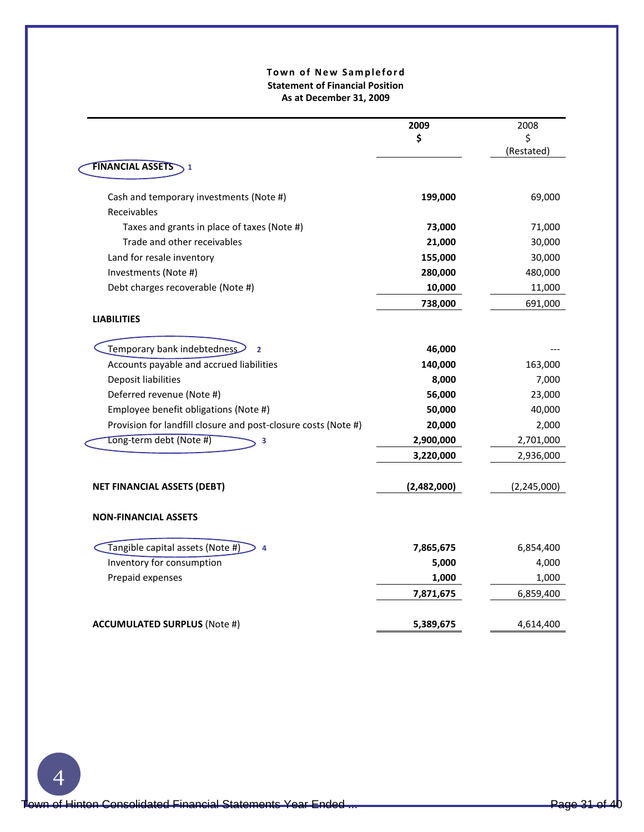#### **Town of New Sampleford Statement of Financial Position As at December 31, 2009**

|                                                                | 2009        | 2008          |
|----------------------------------------------------------------|-------------|---------------|
|                                                                | \$          | \$            |
|                                                                |             | (Restated)    |
| <b>FINANCIAL ASSETS</b><br>、1                                  |             |               |
| Cash and temporary investments (Note #)                        | 199,000     | 69,000        |
| Receivables                                                    |             |               |
| Taxes and grants in place of taxes (Note #)                    | 73,000      | 71,000        |
| Trade and other receivables                                    | 21,000      | 30,000        |
| Land for resale inventory                                      | 155,000     | 30,000        |
| Investments (Note #)                                           | 280,000     | 480,000       |
| Debt charges recoverable (Note #)                              | 10,000      | 11,000        |
|                                                                | 738,000     | 691,000       |
| <b>LIABILITIES</b>                                             |             |               |
| Temporary bank indebtedness                                    | 46,000      |               |
| Accounts payable and accrued liabilities                       | 140,000     | 163,000       |
| Deposit liabilities                                            | 8,000       | 7,000         |
| Deferred revenue (Note #)                                      | 56,000      | 23,000        |
| Employee benefit obligations (Note #)                          | 50,000      | 40,000        |
| Provision for landfill closure and post-closure costs (Note #) | 20,000      | 2,000         |
| Long-term debt (Note #)<br>З                                   | 2,900,000   | 2,701,000     |
|                                                                | 3,220,000   | 2,936,000     |
| <b>NET FINANCIAL ASSETS (DEBT)</b>                             | (2,482,000) | (2, 245, 000) |
| <b>NON-FINANCIAL ASSETS</b>                                    |             |               |
| Tangible capital assets (Note #)<br>4                          | 7,865,675   | 6,854,400     |
| Inventory for consumption                                      | 5,000       | 4,000         |
| Prepaid expenses                                               | 1,000       | 1,000         |
|                                                                | 7,871,675   | 6,859,400     |
| <b>ACCUMULATED SURPLUS (Note #)</b>                            | 5,389,675   | 4,614,400     |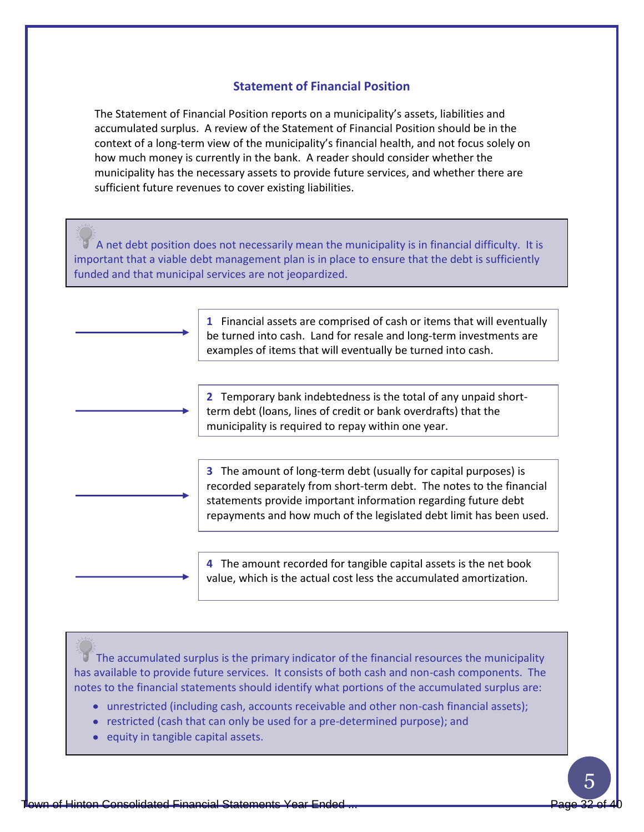### **Statement of Financial Position**

The Statement of Financial Position reports on a municipality's assets, liabilities and accumulated surplus. A review of the Statement of Financial Position should be in the context of a long-term view of the municipality's financial health, and not focus solely on how much money is currently in the bank. A reader should consider whether the municipality has the necessary assets to provide future services, and whether there are sufficient future revenues to cover existing liabilities.

A net debt position does not necessarily mean the municipality is in financial difficulty. It is important that a viable debt management plan is in place to ensure that the debt is sufficiently funded and that municipal services are not jeopardized.

> **1** Financial assets are comprised of cash or items that will eventually be turned into cash. Land for resale and long-term investments are examples of items that will eventually be turned into cash.

**2** Temporary bank indebtedness is the total of any unpaid shortterm debt (loans, lines of credit or bank overdrafts) that the municipality is required to repay within one year.

**3** The amount of long-term debt (usually for capital purposes) is recorded separately from short-term debt. The notes to the financial statements provide important information regarding future debt repayments and how much of the legislated debt limit has been used.

**4** The amount recorded for tangible capital assets is the net book value, which is the actual cost less the accumulated amortization.

 $\blacksquare$  The accumulated surplus is the primary indicator of the financial resources the municipality has available to provide future services. It consists of both cash and non-cash components. The notes to the financial statements should identify what portions of the accumulated surplus are:

- unrestricted (including cash, accounts receivable and other non-cash financial assets);
- restricted (cash that can only be used for a pre-determined purpose); and
- equity in tangible capital assets.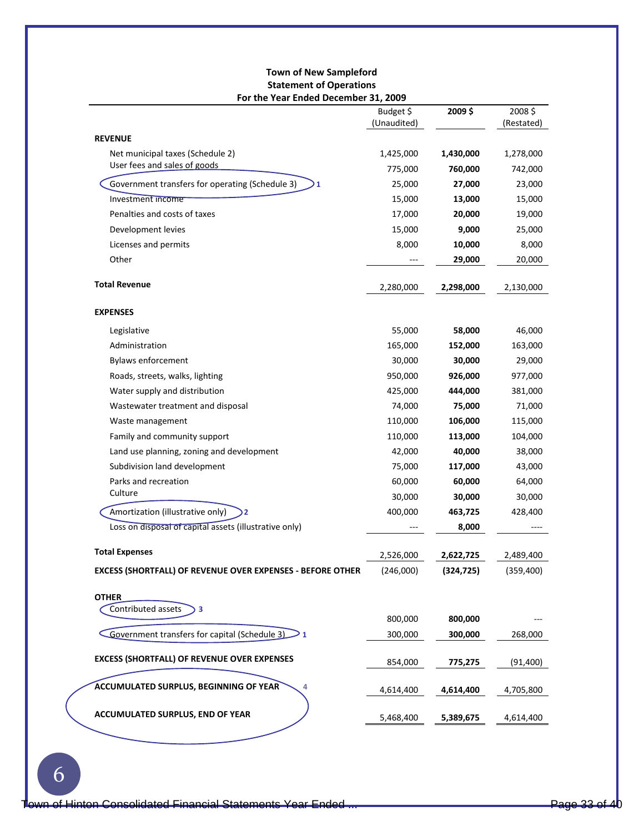| <b>REVENUE</b><br>Net municipal taxes (Schedule 2)<br>1,425,000<br>1,430,000<br>1,278,000<br>User fees and sales of goods<br>775,000<br>760,000<br>742,000<br>Government transfers for operating (Schedule 3)<br>25,000<br>27,000<br>23,000<br>1<br>Investment income<br>15,000<br>15,000<br>13,000<br>Penalties and costs of taxes<br>17,000<br>20,000<br>19,000<br>Development levies<br>15,000<br>9,000<br>25,000<br>8,000<br>8,000<br>Licenses and permits<br>10,000<br>Other<br>29,000<br>20,000<br><b>Total Revenue</b><br>2,280,000<br>2,130,000<br>2,298,000<br><b>EXPENSES</b><br>55,000<br>58,000<br>46,000<br>Legislative<br>Administration<br>165,000<br>152,000<br>163,000<br><b>Bylaws enforcement</b><br>30,000<br>29,000<br>30,000<br>Roads, streets, walks, lighting<br>950,000<br>926,000<br>977,000<br>Water supply and distribution<br>425,000<br>444,000<br>381,000<br>Wastewater treatment and disposal<br>74,000<br>75,000<br>71,000<br>Waste management<br>110,000<br>106,000<br>115,000<br>104,000<br>Family and community support<br>110,000<br>113,000<br>Land use planning, zoning and development<br>42,000<br>40,000<br>38,000<br>Subdivision land development<br>75,000<br>117,000<br>43,000<br>Parks and recreation<br>60,000<br>60,000<br>64,000<br>Culture<br>30,000<br>30,000<br>30,000<br>Amortization (illustrative only)<br>400,000<br>463,725<br>428,400<br>2<br>Loss on disposal of capital assets (illustrative only)<br>8,000<br><b>Total Expenses</b><br>2,526,000<br>2,622,725<br>2,489,400<br><b>EXCESS (SHORTFALL) OF REVENUE OVER EXPENSES - BEFORE OTHER</b><br>(246,000)<br>(324, 725)<br>(359, 400)<br><b>OTHER</b><br>Contributed assets<br>3<br>800,000<br>800,000<br>Government transfers for capital (Schedule 3)<br>300,000<br>300,000<br>268,000<br>1<br><b>EXCESS (SHORTFALL) OF REVENUE OVER EXPENSES</b><br>854,000<br>775,275<br>(91,400)<br>ACCUMULATED SURPLUS, BEGINNING OF YEAR<br>4<br>4,614,400<br>4,705,800<br>4,614,400<br><b>ACCUMULATED SURPLUS, END OF YEAR</b><br>5,468,400<br>5,389,675<br>4,614,400 | Budget \$<br>(Unaudited) | 2009\$ | 2008\$<br>(Restated) |
|-------------------------------------------------------------------------------------------------------------------------------------------------------------------------------------------------------------------------------------------------------------------------------------------------------------------------------------------------------------------------------------------------------------------------------------------------------------------------------------------------------------------------------------------------------------------------------------------------------------------------------------------------------------------------------------------------------------------------------------------------------------------------------------------------------------------------------------------------------------------------------------------------------------------------------------------------------------------------------------------------------------------------------------------------------------------------------------------------------------------------------------------------------------------------------------------------------------------------------------------------------------------------------------------------------------------------------------------------------------------------------------------------------------------------------------------------------------------------------------------------------------------------------------------------------------------------------------------------------------------------------------------------------------------------------------------------------------------------------------------------------------------------------------------------------------------------------------------------------------------------------------------------------------------------------------------------------------------------------------------------------------------------------------------------------------------------------|--------------------------|--------|----------------------|
|                                                                                                                                                                                                                                                                                                                                                                                                                                                                                                                                                                                                                                                                                                                                                                                                                                                                                                                                                                                                                                                                                                                                                                                                                                                                                                                                                                                                                                                                                                                                                                                                                                                                                                                                                                                                                                                                                                                                                                                                                                                                               |                          |        |                      |
|                                                                                                                                                                                                                                                                                                                                                                                                                                                                                                                                                                                                                                                                                                                                                                                                                                                                                                                                                                                                                                                                                                                                                                                                                                                                                                                                                                                                                                                                                                                                                                                                                                                                                                                                                                                                                                                                                                                                                                                                                                                                               |                          |        |                      |
|                                                                                                                                                                                                                                                                                                                                                                                                                                                                                                                                                                                                                                                                                                                                                                                                                                                                                                                                                                                                                                                                                                                                                                                                                                                                                                                                                                                                                                                                                                                                                                                                                                                                                                                                                                                                                                                                                                                                                                                                                                                                               |                          |        |                      |
|                                                                                                                                                                                                                                                                                                                                                                                                                                                                                                                                                                                                                                                                                                                                                                                                                                                                                                                                                                                                                                                                                                                                                                                                                                                                                                                                                                                                                                                                                                                                                                                                                                                                                                                                                                                                                                                                                                                                                                                                                                                                               |                          |        |                      |
|                                                                                                                                                                                                                                                                                                                                                                                                                                                                                                                                                                                                                                                                                                                                                                                                                                                                                                                                                                                                                                                                                                                                                                                                                                                                                                                                                                                                                                                                                                                                                                                                                                                                                                                                                                                                                                                                                                                                                                                                                                                                               |                          |        |                      |
|                                                                                                                                                                                                                                                                                                                                                                                                                                                                                                                                                                                                                                                                                                                                                                                                                                                                                                                                                                                                                                                                                                                                                                                                                                                                                                                                                                                                                                                                                                                                                                                                                                                                                                                                                                                                                                                                                                                                                                                                                                                                               |                          |        |                      |
|                                                                                                                                                                                                                                                                                                                                                                                                                                                                                                                                                                                                                                                                                                                                                                                                                                                                                                                                                                                                                                                                                                                                                                                                                                                                                                                                                                                                                                                                                                                                                                                                                                                                                                                                                                                                                                                                                                                                                                                                                                                                               |                          |        |                      |
|                                                                                                                                                                                                                                                                                                                                                                                                                                                                                                                                                                                                                                                                                                                                                                                                                                                                                                                                                                                                                                                                                                                                                                                                                                                                                                                                                                                                                                                                                                                                                                                                                                                                                                                                                                                                                                                                                                                                                                                                                                                                               |                          |        |                      |
|                                                                                                                                                                                                                                                                                                                                                                                                                                                                                                                                                                                                                                                                                                                                                                                                                                                                                                                                                                                                                                                                                                                                                                                                                                                                                                                                                                                                                                                                                                                                                                                                                                                                                                                                                                                                                                                                                                                                                                                                                                                                               |                          |        |                      |
|                                                                                                                                                                                                                                                                                                                                                                                                                                                                                                                                                                                                                                                                                                                                                                                                                                                                                                                                                                                                                                                                                                                                                                                                                                                                                                                                                                                                                                                                                                                                                                                                                                                                                                                                                                                                                                                                                                                                                                                                                                                                               |                          |        |                      |
|                                                                                                                                                                                                                                                                                                                                                                                                                                                                                                                                                                                                                                                                                                                                                                                                                                                                                                                                                                                                                                                                                                                                                                                                                                                                                                                                                                                                                                                                                                                                                                                                                                                                                                                                                                                                                                                                                                                                                                                                                                                                               |                          |        |                      |
|                                                                                                                                                                                                                                                                                                                                                                                                                                                                                                                                                                                                                                                                                                                                                                                                                                                                                                                                                                                                                                                                                                                                                                                                                                                                                                                                                                                                                                                                                                                                                                                                                                                                                                                                                                                                                                                                                                                                                                                                                                                                               |                          |        |                      |
|                                                                                                                                                                                                                                                                                                                                                                                                                                                                                                                                                                                                                                                                                                                                                                                                                                                                                                                                                                                                                                                                                                                                                                                                                                                                                                                                                                                                                                                                                                                                                                                                                                                                                                                                                                                                                                                                                                                                                                                                                                                                               |                          |        |                      |
|                                                                                                                                                                                                                                                                                                                                                                                                                                                                                                                                                                                                                                                                                                                                                                                                                                                                                                                                                                                                                                                                                                                                                                                                                                                                                                                                                                                                                                                                                                                                                                                                                                                                                                                                                                                                                                                                                                                                                                                                                                                                               |                          |        |                      |
|                                                                                                                                                                                                                                                                                                                                                                                                                                                                                                                                                                                                                                                                                                                                                                                                                                                                                                                                                                                                                                                                                                                                                                                                                                                                                                                                                                                                                                                                                                                                                                                                                                                                                                                                                                                                                                                                                                                                                                                                                                                                               |                          |        |                      |
|                                                                                                                                                                                                                                                                                                                                                                                                                                                                                                                                                                                                                                                                                                                                                                                                                                                                                                                                                                                                                                                                                                                                                                                                                                                                                                                                                                                                                                                                                                                                                                                                                                                                                                                                                                                                                                                                                                                                                                                                                                                                               |                          |        |                      |
|                                                                                                                                                                                                                                                                                                                                                                                                                                                                                                                                                                                                                                                                                                                                                                                                                                                                                                                                                                                                                                                                                                                                                                                                                                                                                                                                                                                                                                                                                                                                                                                                                                                                                                                                                                                                                                                                                                                                                                                                                                                                               |                          |        |                      |
|                                                                                                                                                                                                                                                                                                                                                                                                                                                                                                                                                                                                                                                                                                                                                                                                                                                                                                                                                                                                                                                                                                                                                                                                                                                                                                                                                                                                                                                                                                                                                                                                                                                                                                                                                                                                                                                                                                                                                                                                                                                                               |                          |        |                      |
|                                                                                                                                                                                                                                                                                                                                                                                                                                                                                                                                                                                                                                                                                                                                                                                                                                                                                                                                                                                                                                                                                                                                                                                                                                                                                                                                                                                                                                                                                                                                                                                                                                                                                                                                                                                                                                                                                                                                                                                                                                                                               |                          |        |                      |
|                                                                                                                                                                                                                                                                                                                                                                                                                                                                                                                                                                                                                                                                                                                                                                                                                                                                                                                                                                                                                                                                                                                                                                                                                                                                                                                                                                                                                                                                                                                                                                                                                                                                                                                                                                                                                                                                                                                                                                                                                                                                               |                          |        |                      |
|                                                                                                                                                                                                                                                                                                                                                                                                                                                                                                                                                                                                                                                                                                                                                                                                                                                                                                                                                                                                                                                                                                                                                                                                                                                                                                                                                                                                                                                                                                                                                                                                                                                                                                                                                                                                                                                                                                                                                                                                                                                                               |                          |        |                      |
|                                                                                                                                                                                                                                                                                                                                                                                                                                                                                                                                                                                                                                                                                                                                                                                                                                                                                                                                                                                                                                                                                                                                                                                                                                                                                                                                                                                                                                                                                                                                                                                                                                                                                                                                                                                                                                                                                                                                                                                                                                                                               |                          |        |                      |
|                                                                                                                                                                                                                                                                                                                                                                                                                                                                                                                                                                                                                                                                                                                                                                                                                                                                                                                                                                                                                                                                                                                                                                                                                                                                                                                                                                                                                                                                                                                                                                                                                                                                                                                                                                                                                                                                                                                                                                                                                                                                               |                          |        |                      |
|                                                                                                                                                                                                                                                                                                                                                                                                                                                                                                                                                                                                                                                                                                                                                                                                                                                                                                                                                                                                                                                                                                                                                                                                                                                                                                                                                                                                                                                                                                                                                                                                                                                                                                                                                                                                                                                                                                                                                                                                                                                                               |                          |        |                      |
|                                                                                                                                                                                                                                                                                                                                                                                                                                                                                                                                                                                                                                                                                                                                                                                                                                                                                                                                                                                                                                                                                                                                                                                                                                                                                                                                                                                                                                                                                                                                                                                                                                                                                                                                                                                                                                                                                                                                                                                                                                                                               |                          |        |                      |
|                                                                                                                                                                                                                                                                                                                                                                                                                                                                                                                                                                                                                                                                                                                                                                                                                                                                                                                                                                                                                                                                                                                                                                                                                                                                                                                                                                                                                                                                                                                                                                                                                                                                                                                                                                                                                                                                                                                                                                                                                                                                               |                          |        |                      |
|                                                                                                                                                                                                                                                                                                                                                                                                                                                                                                                                                                                                                                                                                                                                                                                                                                                                                                                                                                                                                                                                                                                                                                                                                                                                                                                                                                                                                                                                                                                                                                                                                                                                                                                                                                                                                                                                                                                                                                                                                                                                               |                          |        |                      |
|                                                                                                                                                                                                                                                                                                                                                                                                                                                                                                                                                                                                                                                                                                                                                                                                                                                                                                                                                                                                                                                                                                                                                                                                                                                                                                                                                                                                                                                                                                                                                                                                                                                                                                                                                                                                                                                                                                                                                                                                                                                                               |                          |        |                      |
|                                                                                                                                                                                                                                                                                                                                                                                                                                                                                                                                                                                                                                                                                                                                                                                                                                                                                                                                                                                                                                                                                                                                                                                                                                                                                                                                                                                                                                                                                                                                                                                                                                                                                                                                                                                                                                                                                                                                                                                                                                                                               |                          |        |                      |
|                                                                                                                                                                                                                                                                                                                                                                                                                                                                                                                                                                                                                                                                                                                                                                                                                                                                                                                                                                                                                                                                                                                                                                                                                                                                                                                                                                                                                                                                                                                                                                                                                                                                                                                                                                                                                                                                                                                                                                                                                                                                               |                          |        |                      |
|                                                                                                                                                                                                                                                                                                                                                                                                                                                                                                                                                                                                                                                                                                                                                                                                                                                                                                                                                                                                                                                                                                                                                                                                                                                                                                                                                                                                                                                                                                                                                                                                                                                                                                                                                                                                                                                                                                                                                                                                                                                                               |                          |        |                      |
|                                                                                                                                                                                                                                                                                                                                                                                                                                                                                                                                                                                                                                                                                                                                                                                                                                                                                                                                                                                                                                                                                                                                                                                                                                                                                                                                                                                                                                                                                                                                                                                                                                                                                                                                                                                                                                                                                                                                                                                                                                                                               |                          |        |                      |
|                                                                                                                                                                                                                                                                                                                                                                                                                                                                                                                                                                                                                                                                                                                                                                                                                                                                                                                                                                                                                                                                                                                                                                                                                                                                                                                                                                                                                                                                                                                                                                                                                                                                                                                                                                                                                                                                                                                                                                                                                                                                               |                          |        |                      |
|                                                                                                                                                                                                                                                                                                                                                                                                                                                                                                                                                                                                                                                                                                                                                                                                                                                                                                                                                                                                                                                                                                                                                                                                                                                                                                                                                                                                                                                                                                                                                                                                                                                                                                                                                                                                                                                                                                                                                                                                                                                                               |                          |        |                      |

#### **Town of New Sampleford Statement of Operations For the Year Ended December 31, 2009**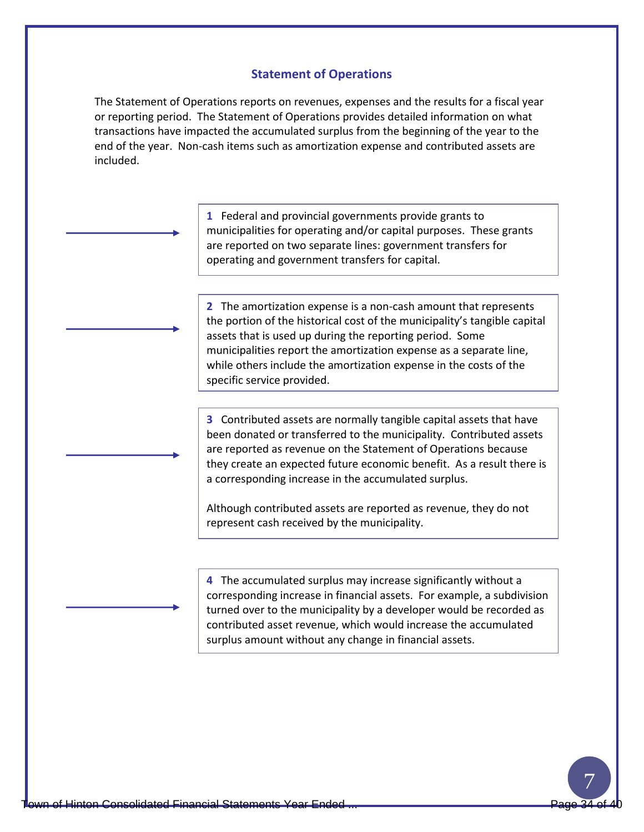#### **Statement of Operations**

The Statement of Operations reports on revenues, expenses and the results for a fiscal year or reporting period. The Statement of Operations provides detailed information on what transactions have impacted the accumulated surplus from the beginning of the year to the end of the year. Non-cash items such as amortization expense and contributed assets are included.

> **1** Federal and provincial governments provide grants to municipalities for operating and/or capital purposes. These grants are reported on two separate lines: government transfers for operating and government transfers for capital.

**2** The amortization expense is a non-cash amount that represents the portion of the historical cost of the municipality's tangible capital assets that is used up during the reporting period. Some municipalities report the amortization expense as a separate line, while others include the amortization expense in the costs of the specific service provided.

**3** Contributed assets are normally tangible capital assets that have been donated or transferred to the municipality. Contributed assets are reported as revenue on the Statement of Operations because they create an expected future economic benefit. As a result there is a corresponding increase in the accumulated surplus.

Although contributed assets are reported as revenue, they do not represent cash received by the municipality.

**4** The accumulated surplus may increase significantly without a corresponding increase in financial assets. For example, a subdivision turned over to the municipality by a developer would be recorded as contributed asset revenue, which would increase the accumulated surplus amount without any change in financial assets.

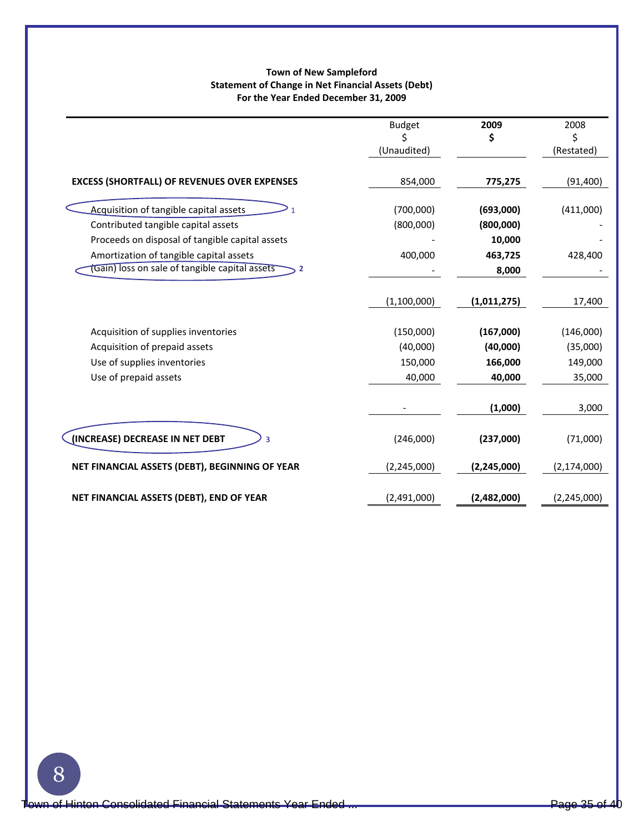#### **Town of New Sampleford Statement of Change in Net Financial Assets (Debt) For the Year Ended December 31, 2009**

|               |               | (Restated)    |
|---------------|---------------|---------------|
| 854,000       | 775,275       | (91, 400)     |
| (700,000)     | (693,000)     | (411,000)     |
| (800,000)     | (800,000)     |               |
|               | 10,000        |               |
| 400,000       | 463,725       | 428,400       |
|               | 8,000         |               |
| (1, 100, 000) | (1,011,275)   | 17,400        |
| (150,000)     | (167,000)     | (146,000)     |
| (40,000)      | (40,000)      | (35,000)      |
| 150,000       | 166,000       | 149,000       |
| 40,000        | 40,000        | 35,000        |
|               | (1,000)       | 3,000         |
| (246,000)     | (237,000)     | (71,000)      |
| (2, 245, 000) | (2, 245, 000) | (2, 174, 000) |
| (2,491,000)   | (2,482,000)   | (2, 245, 000) |
|               |               |               |

8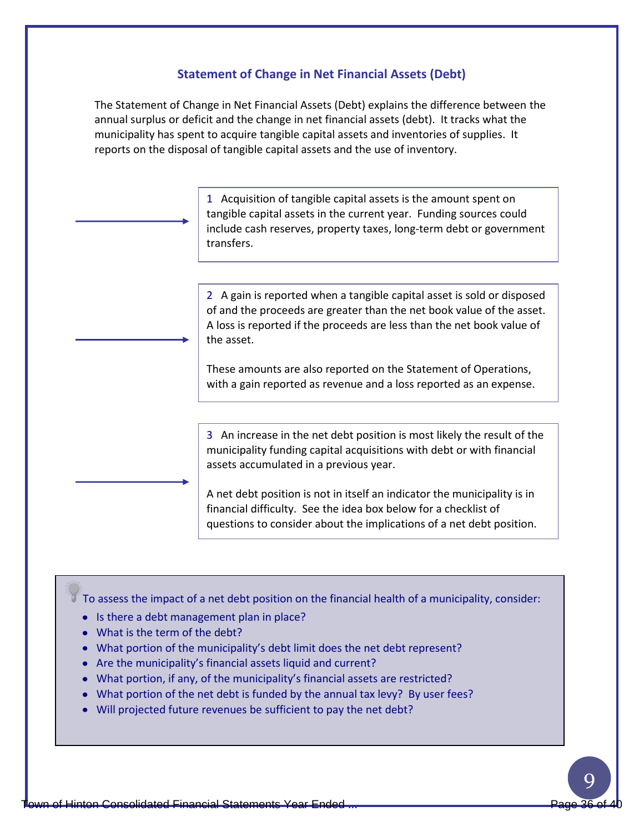## **Statement of Change in Net Financial Assets (Debt)**

The Statement of Change in Net Financial Assets (Debt) explains the difference between the annual surplus or deficit and the change in net financial assets (debt). It tracks what the municipality has spent to acquire tangible capital assets and inventories of supplies. It reports on the disposal of tangible capital assets and the use of inventory.

> 1 Acquisition of tangible capital assets is the amount spent on tangible capital assets in the current year. Funding sources could include cash reserves, property taxes, long-term debt or government transfers.

> 2 A gain is reported when a tangible capital asset is sold or disposed of and the proceeds are greater than the net book value of the asset. A loss is reported if the proceeds are less than the net book value of the asset.

These amounts are also reported on the Statement of Operations, with a gain reported as revenue and a loss reported as an expense.

3 An increase in the net debt position is most likely the result of the municipality funding capital acquisitions with debt or with financial assets accumulated in a previous year.

A net debt position is not in itself an indicator the municipality is in financial difficulty. See the idea box below for a checklist of questions to consider about the implications of a net debt position.

To assess the impact of a net debt position on the financial health of a municipality, consider:

- Is there a debt management plan in place?
- What is the term of the debt?
- What portion of the municipality's debt limit does the net debt represent?
- Are the municipality's financial assets liquid and current?
- What portion, if any, of the municipality's financial assets are restricted?
- What portion of the net debt is funded by the annual tax levy? By user fees?
- Will projected future revenues be sufficient to pay the net debt?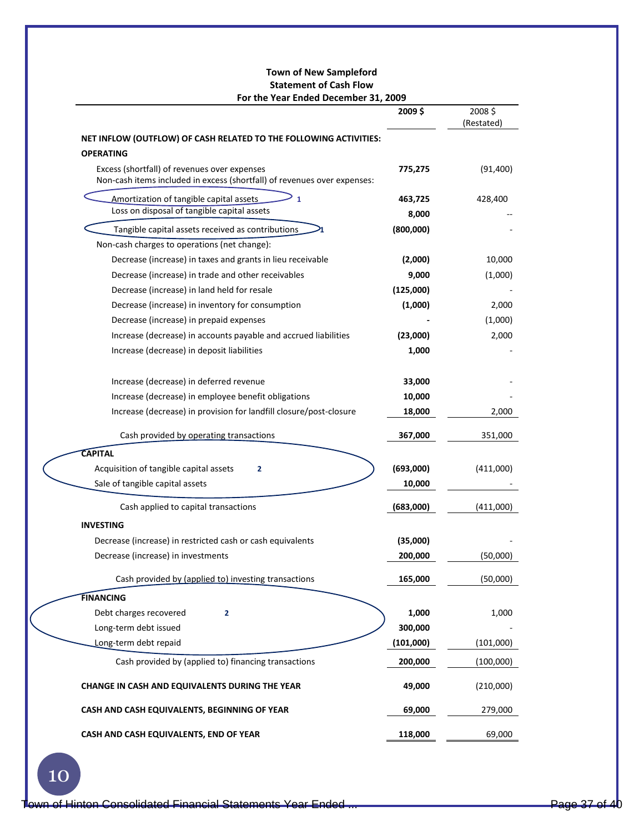#### **Town of New Sampleford Statement of Cash Flow For the Year Ended December 31, 2009**

|                                                                                                                          | 2009\$           | 2008 \$<br>(Restated) |
|--------------------------------------------------------------------------------------------------------------------------|------------------|-----------------------|
| NET INFLOW (OUTFLOW) OF CASH RELATED TO THE FOLLOWING ACTIVITIES:<br><b>OPERATING</b>                                    |                  |                       |
| Excess (shortfall) of revenues over expenses<br>Non-cash items included in excess (shortfall) of revenues over expenses: | 775,275          | (91, 400)             |
| Amortization of tangible capital assets<br>$\mathbf{1}$<br>Loss on disposal of tangible capital assets                   | 463,725<br>8,000 | 428,400               |
| Tangible capital assets received as contributions                                                                        | (800,000)        |                       |
| Non-cash charges to operations (net change):                                                                             |                  |                       |
| Decrease (increase) in taxes and grants in lieu receivable                                                               | (2,000)          | 10,000                |
| Decrease (increase) in trade and other receivables                                                                       | 9,000            | (1,000)               |
| Decrease (increase) in land held for resale                                                                              | (125,000)        |                       |
| Decrease (increase) in inventory for consumption                                                                         | (1,000)          | 2,000                 |
| Decrease (increase) in prepaid expenses                                                                                  |                  | (1,000)               |
| Increase (decrease) in accounts payable and accrued liabilities                                                          | (23,000)         | 2,000                 |
| Increase (decrease) in deposit liabilities                                                                               | 1,000            |                       |
| Increase (decrease) in deferred revenue                                                                                  | 33,000           |                       |
| Increase (decrease) in employee benefit obligations                                                                      | 10,000           |                       |
| Increase (decrease) in provision for landfill closure/post-closure                                                       | 18,000           | 2,000                 |
| Cash provided by operating transactions                                                                                  | 367,000          | 351,000               |
| <b>CAPITAL</b>                                                                                                           |                  |                       |
| Acquisition of tangible capital assets<br>2                                                                              | (693,000)        | (411,000)             |
| Sale of tangible capital assets                                                                                          | 10,000           |                       |
| Cash applied to capital transactions                                                                                     | (683,000)        | (411,000)             |
| <b>INVESTING</b>                                                                                                         |                  |                       |
| Decrease (increase) in restricted cash or cash equivalents                                                               | (35,000)         |                       |
| Decrease (increase) in investments                                                                                       | 200,000          | (50,000)              |
| Cash provided by (applied to) investing transactions                                                                     | 165,000          | (50,000)              |
| <b>FINANCING</b>                                                                                                         |                  |                       |
| Debt charges recovered<br>2                                                                                              | 1,000            | 1,000                 |
| Long-term debt issued                                                                                                    | 300,000          |                       |
| Long-term debt repaid                                                                                                    | (101,000)        | (101,000)             |
| Cash provided by (applied to) financing transactions                                                                     | 200,000          | (100,000)             |
| CHANGE IN CASH AND EQUIVALENTS DURING THE YEAR                                                                           | 49,000           | (210,000)             |
| CASH AND CASH EQUIVALENTS, BEGINNING OF YEAR                                                                             | 69,000           | 279,000               |
| CASH AND CASH EQUIVALENTS, END OF YEAR                                                                                   | 118,000          | 69,000                |

 $\bigg($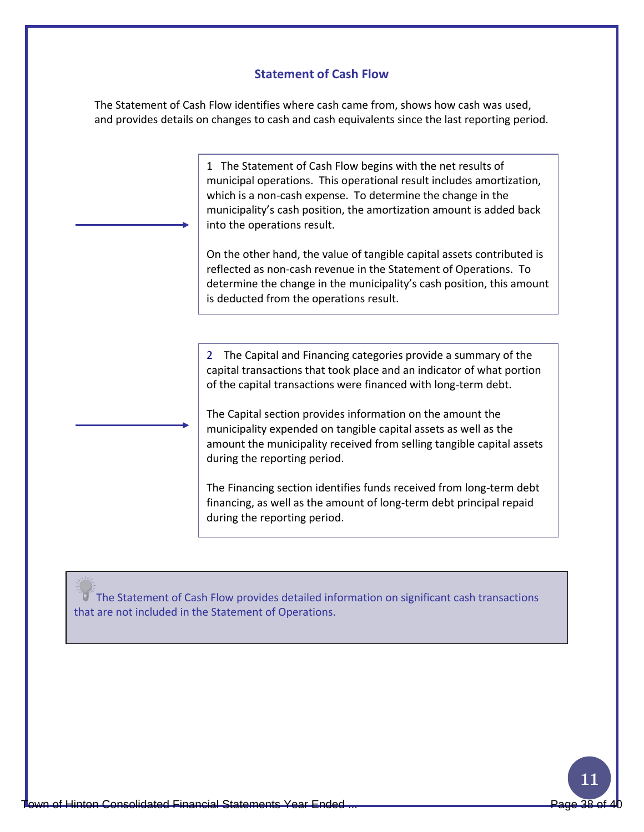### **Statement of Cash Flow**

The Statement of Cash Flow identifies where cash came from, shows how cash was used, and provides details on changes to cash and cash equivalents since the last reporting period.

> 1 The Statement of Cash Flow begins with the net results of municipal operations. This operational result includes amortization, which is a non-cash expense. To determine the change in the municipality's cash position, the amortization amount is added back into the operations result.

On the other hand, the value of tangible capital assets contributed is reflected as non-cash revenue in the Statement of Operations. To determine the change in the municipality's cash position, this amount is deducted from the operations result.

2 The Capital and Financing categories provide a summary of the capital transactions that took place and an indicator of what portion of the capital transactions were financed with long-term debt.

The Capital section provides information on the amount the municipality expended on tangible capital assets as well as the amount the municipality received from selling tangible capital assets during the reporting period.

The Financing section identifies funds received from long-term debt financing, as well as the amount of long-term debt principal repaid during the reporting period.

 $\degree$  The Statement of Cash Flow provides detailed information on significant cash transactions that are not included in the Statement of Operations.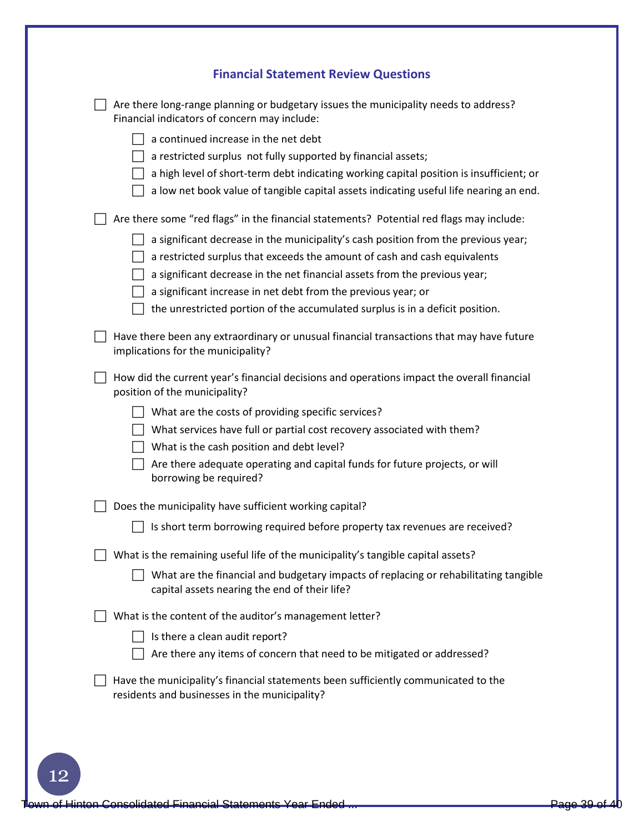| Are there long-range planning or budgetary issues the municipality needs to address?<br>Financial indicators of concern may include:  |
|---------------------------------------------------------------------------------------------------------------------------------------|
| a continued increase in the net debt                                                                                                  |
| a restricted surplus not fully supported by financial assets;                                                                         |
| a high level of short-term debt indicating working capital position is insufficient; or                                               |
| a low net book value of tangible capital assets indicating useful life nearing an end.                                                |
| Are there some "red flags" in the financial statements? Potential red flags may include:                                              |
| a significant decrease in the municipality's cash position from the previous year;                                                    |
| a restricted surplus that exceeds the amount of cash and cash equivalents                                                             |
| a significant decrease in the net financial assets from the previous year;                                                            |
| a significant increase in net debt from the previous year; or                                                                         |
| the unrestricted portion of the accumulated surplus is in a deficit position.                                                         |
| Have there been any extraordinary or unusual financial transactions that may have future<br>implications for the municipality?        |
| How did the current year's financial decisions and operations impact the overall financial<br>position of the municipality?           |
| What are the costs of providing specific services?                                                                                    |
| What services have full or partial cost recovery associated with them?                                                                |
| What is the cash position and debt level?                                                                                             |
| Are there adequate operating and capital funds for future projects, or will<br>borrowing be required?                                 |
| Does the municipality have sufficient working capital?                                                                                |
| Is short term borrowing required before property tax revenues are received?                                                           |
| What is the remaining useful life of the municipality's tangible capital assets?                                                      |
| What are the financial and budgetary impacts of replacing or rehabilitating tangible<br>capital assets nearing the end of their life? |
| What is the content of the auditor's management letter?                                                                               |
| Is there a clean audit report?                                                                                                        |
| Are there any items of concern that need to be mitigated or addressed?                                                                |
| Have the municipality's financial statements been sufficiently communicated to the<br>residents and businesses in the municipality?   |